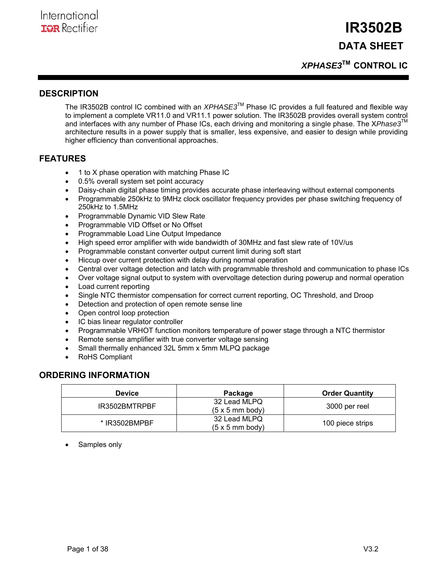## *XPHASE3***TM CONTROL IC**

### **DESCRIPTION**

The IR3502B control IC combined with an *XPHASE3*TM Phase IC provides a full featured and flexible way to implement a complete VR11.0 and VR11.1 power solution. The IR3502B provides overall system control and interfaces with any number of Phase ICs, each driving and monitoring a single phase. The X*Phase3*TM architecture results in a power supply that is smaller, less expensive, and easier to design while providing higher efficiency than conventional approaches.

### **FEATURES**

- 1 to X phase operation with matching Phase IC
- 0.5% overall system set point accuracy
- Daisy-chain digital phase timing provides accurate phase interleaving without external components
- Programmable 250kHz to 9MHz clock oscillator frequency provides per phase switching frequency of 250kHz to 1.5MHz
- Programmable Dynamic VID Slew Rate
- Programmable VID Offset or No Offset
- Programmable Load Line Output Impedance
- High speed error amplifier with wide bandwidth of 30MHz and fast slew rate of 10V/us
- Programmable constant converter output current limit during soft start
- Hiccup over current protection with delay during normal operation
- Central over voltage detection and latch with programmable threshold and communication to phase ICs
- Over voltage signal output to system with overvoltage detection during powerup and normal operation
- Load current reporting
- Single NTC thermistor compensation for correct current reporting, OC Threshold, and Droop
- Detection and protection of open remote sense line
- Open control loop protection
- IC bias linear regulator controller
- Programmable VRHOT function monitors temperature of power stage through a NTC thermistor
- Remote sense amplifier with true converter voltage sensing
- Small thermally enhanced 32L 5mm x 5mm MLPQ package
- RoHS Compliant

### **ORDERING INFORMATION**

| <b>Device</b> | Package                                        | <b>Order Quantity</b> |
|---------------|------------------------------------------------|-----------------------|
| IR3502BMTRPBF | 32 Lead MLPQ<br>$(5 \times 5 \text{ mm}$ body) | 3000 per reel         |
| * IR3502BMPBF | 32 Lead MLPQ<br>$(5 \times 5 \text{ mm}$ body) | 100 piece strips      |

Samples only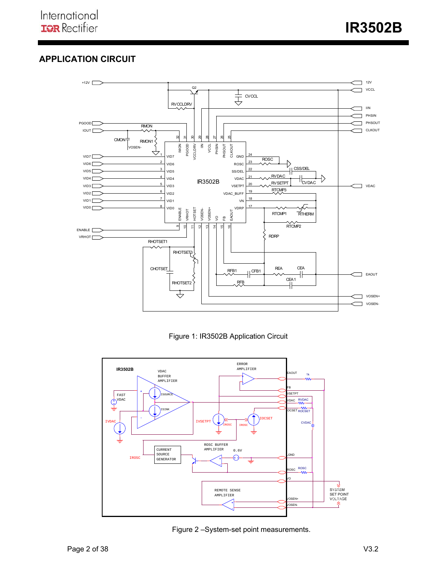## **APPLICATION CIRCUIT**



Figure 1: IR3502B Application Circuit



Figure 2 –System-set point measurements.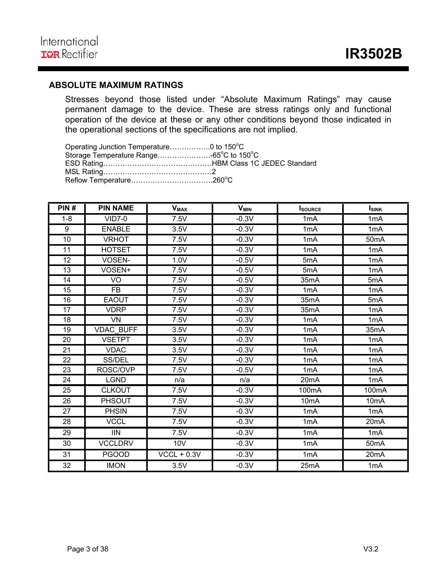## **ABSOLUTE MAXIMUM RATINGS**

Stresses beyond those listed under "Absolute Maximum Ratings" may cause permanent damage to the device. These are stress ratings only and functional operation of the device at these or any other conditions beyond those indicated in the operational sections of the specifications are not implied.

Operating Junction Temperature..................0 to 150°C Storage Temperature Range……………………-65°C to 150°C ESD Rating………………………………………HBM Class 1C JEDEC Standard MSL Rating………………………………………2 Reflow Temperature…………………………….260<sup>o</sup> C

| PIN#            | <b>PIN NAME</b>          | <b>V<sub>MAX</sub></b> | <b>V<sub>MIN</sub></b> | <b>I</b> SOURCE   | <b>ISINK</b>      |
|-----------------|--------------------------|------------------------|------------------------|-------------------|-------------------|
| $1 - 8$         | $VID7-0$                 | 7.5V                   | $-0.3V$                | 1 <sub>m</sub> A  | 1 <sub>m</sub> A  |
| 9               | <b>ENABLE</b>            | 3.5V                   | $-0.3V$                | 1mA               | 1 <sub>m</sub> A  |
| 10              | <b>VRHOT</b>             | 7.5V                   | $-0.3V$                | 1 <sub>m</sub> A  | 50 <sub>m</sub> A |
| 11              | <b>HOTSET</b>            | 7.5V                   | $-0.3V$                | 1 <sub>m</sub> A  | 1 <sub>m</sub> A  |
| 12              | VOSEN-                   | 1.0V                   | $-0.5V$                | 5mA               | 1mA               |
| $\overline{13}$ | VOSEN+                   | 7.5V                   | $-0.5V$                | 5mA               | 1mA               |
| 14              | VO                       | 7.5V                   | $-0.5V$                | 35mA              | 5mA               |
| 15              | <b>FB</b>                | 7.5V                   | $-0.3V$                | 1mA               | 1mA               |
| 16              | <b>EAOUT</b>             | 7.5V                   | $-0.3V$                | 35mA              | 5mA               |
| 17              | <b>VDRP</b>              | 7.5V                   | $-0.3V$                | 35mA              | 1mA               |
| 18              | VN                       | 7.5V                   | $-0.3V$                | 1mA               | 1mA               |
| 19              | <b>VDAC BUFF</b>         | 3.5V                   | $-0.3V$                | 1mA               | 35mA              |
| 20              | <b>VSETPT</b>            | 3.5V                   | $-0.3V$                | 1mA               | 1mA               |
| 21              | <b>VDAC</b>              | 3.5V                   | $-0.3V$                | 1mA               | 1mA               |
| $\overline{22}$ | SS/DEL                   | 7.5V                   | $-0.3V$                | 1mA               | 1mA               |
| 23              | ROSC/OVP                 | 7.5V                   | $-0.5V$                | 1 <sub>m</sub> A  | 1 <sub>m</sub> A  |
| 24              | <b>LGND</b>              | n/a                    | n/a                    | 20 <sub>m</sub> A | 1mA               |
| 25              | <b>CLKOUT</b>            | 7.5V                   | $-0.3V$                | 100mA             | 100mA             |
| 26              | <b>PHSOUT</b>            | 7.5V                   | $-0.3V$                | 10 <sub>m</sub> A | 10 <sub>m</sub> A |
| 27              | <b>PHSIN</b>             | 7.5V                   | $-0.3V$                | 1mA               | 1mA               |
| 28              | <b>VCCL</b>              | 7.5V                   | $-0.3V$                | 1mA               | 20 <sub>m</sub> A |
| 29              | $\overline{\mathsf{IN}}$ | 7.5V                   | $-0.3V$                | 1mA               | 1mA               |
| 30              | <b>VCCLDRV</b>           | 10 <sub>V</sub>        | $-0.3V$                | 1mA               | 50 <sub>m</sub> A |
| 31              | <b>PGOOD</b>             | $VCCL + 0.3V$          | $-0.3V$                | 1mA               | 20 <sub>m</sub> A |
| 32              | <b>IMON</b>              | 3.5V                   | $-0.3V$                | 25mA              | 1mA               |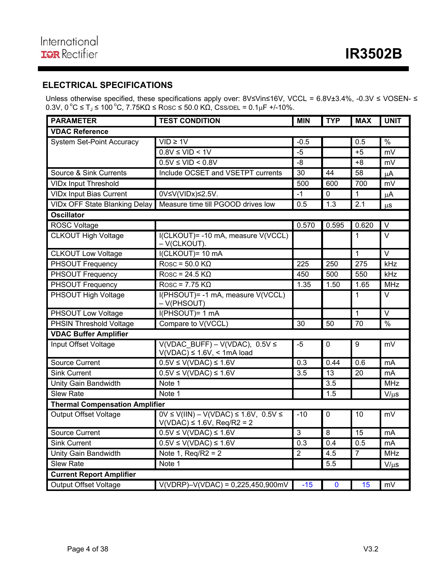## **ELECTRICAL SPECIFICATIONS**

Unless otherwise specified, these specifications apply over: 8V≤Vin≤16V, VCCL = 6.8V±3.4%, -0.3V ≤ VOSEN- ≤  $0.3V$ ,  $0\degree$ C ≤ T<sub>J</sub> ≤ 100  $\degree$ C, 7.75KΩ ≤ Rosc ≤ 50.0 KΩ, Css/DEL = 0.1μF +/-10%.

| <b>PARAMETER</b>                      | <b>TEST CONDITION</b>                                                              | <b>MIN</b>       | <b>TYP</b>  | <b>MAX</b>       | <b>UNIT</b>       |
|---------------------------------------|------------------------------------------------------------------------------------|------------------|-------------|------------------|-------------------|
| <b>VDAC Reference</b>                 |                                                                                    |                  |             |                  |                   |
| <b>System Set-Point Accuracy</b>      | $VID \geq 1V$                                                                      | $-0.5$           |             | 0.5              | $\frac{9}{6}$     |
|                                       | $0.8V \leq VID < 1V$                                                               | $-5$             |             | $+5$             | mV                |
|                                       | $0.5V \leq VID \leq 0.8V$                                                          | $-8$             |             | $+8$             | mV                |
| Source & Sink Currents                | Include OCSET and VSETPT currents                                                  | 30               | 44          | 58               | $\mu$ A           |
| <b>VIDx Input Threshold</b>           |                                                                                    | 500              | 600         | 700              | mV                |
| <b>VIDx Input Bias Current</b>        | 0V≤V(VIDx)≤2.5V.                                                                   | $-1$             | $\Omega$    | $\mathbf{1}$     | μA                |
| <b>VIDx OFF State Blanking Delay</b>  | Measure time till PGOOD drives low                                                 | 0.5              | 1.3         | $\overline{2.1}$ | $\mu$ S           |
| <b>Oscillator</b>                     |                                                                                    |                  |             |                  |                   |
| ROSC Voltage                          |                                                                                    | 0.570            | 0.595       | 0.620            | $\vee$            |
| <b>CLKOUT High Voltage</b>            | I(CLKOUT) = - 10 mA, measure V(VCCL)<br>- V(CLKOUT).                               |                  |             | 1                | V                 |
| <b>CLKOUT Low Voltage</b>             | I(CLKOUT)= 10 mA                                                                   |                  |             | $\mathbf{1}$     | $\overline{\vee}$ |
| <b>PHSOUT Frequency</b>               | $Rosc = 50.0 K\Omega$                                                              | 225              | 250         | $\overline{275}$ | kHz               |
| PHSOUT Frequency                      | $Rosc = 24.5 K\Omega$                                                              | 450              | 500         | 550              | kHz               |
| <b>PHSOUT Frequency</b>               | $Rosc = 7.75 K\Omega$                                                              | 1.35             | 1.50        | 1.65             | <b>MHz</b>        |
| <b>PHSOUT High Voltage</b>            | I(PHSOUT) = - 1 mA, measure V(VCCL)<br>- V(PHSOUT)                                 |                  |             | 1                | V                 |
| PHSOUT Low Voltage                    | I(PHSOUT)= 1 mA                                                                    |                  |             | $\mathbf{1}$     | $\overline{\vee}$ |
| <b>PHSIN Threshold Voltage</b>        | Compare to V(VCCL)                                                                 | 30               | 50          | $\overline{70}$  | $\frac{9}{6}$     |
| <b>VDAC Buffer Amplifier</b>          |                                                                                    |                  |             |                  |                   |
| Input Offset Voltage                  | $V(VDAC$ BUFF) - $V(VDAC)$ , 0.5V $\leq$<br>$V(VDAC) \le 1.6V$ , < 1mA load        |                  | 0           | $\boldsymbol{9}$ | mV                |
| <b>Source Current</b>                 | $0.5V \leq V(VDAC) \leq 1.6V$                                                      | $\overline{0.3}$ | 0.44        | 0.6              | mA                |
| <b>Sink Current</b>                   | $0.5V \leq V(VDAC) \leq 1.6V$                                                      | 3.5              | 13          | 20               | mA                |
| Unity Gain Bandwidth                  | Note 1                                                                             |                  | 3.5         |                  | <b>MHz</b>        |
| Slew Rate                             | Note 1                                                                             |                  | 1.5         |                  | $V/\mu s$         |
| <b>Thermal Compensation Amplifier</b> |                                                                                    |                  |             |                  |                   |
| <b>Output Offset Voltage</b>          | $OV \le V(IIN) - V(VDAC) \le 1.6V$ , 0.5V $\le$<br>$V(VDAC) \le 1.6V$ , Req/R2 = 2 | $-10$            | $\mathbf 0$ | 10               | mV                |
| <b>Source Current</b>                 | $0.5V \le V(VDAC) \le 1.6V$                                                        | 3                | 8           | 15               | mA                |
| <b>Sink Current</b>                   | $0.5V \le V(VDAC) \le 1.6V$                                                        | 0.3              | 0.4         | 0.5              | mA                |
| Unity Gain Bandwidth                  | Note 1, $Req/R2 = 2$                                                               | $\overline{2}$   | 4.5         | $\overline{7}$   | <b>MHz</b>        |
| Slew Rate                             | Note 1                                                                             |                  | 5.5         |                  | $V/\mu s$         |
| <b>Current Report Amplifier</b>       |                                                                                    |                  |             |                  |                   |
| <b>Output Offset Voltage</b>          | $V(VDRP) - V(VDAC) = 0,225,450,900$ mV                                             | $-15$            | $\mathbf 0$ | 15               | mV                |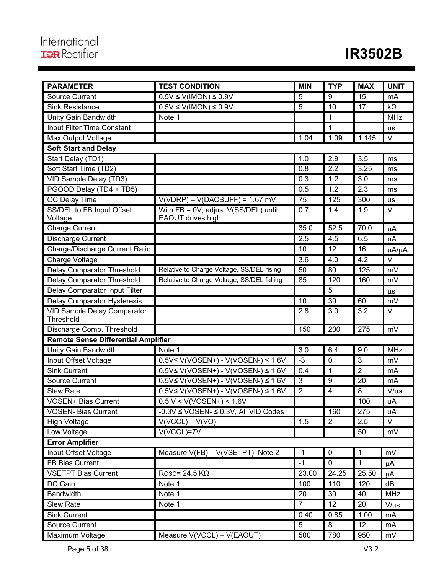| <b>PARAMETER</b>                           | <b>TEST CONDITION</b>                                | <b>MIN</b>       | <b>TYP</b>       | <b>MAX</b>     | <b>UNIT</b> |
|--------------------------------------------|------------------------------------------------------|------------------|------------------|----------------|-------------|
| <b>Source Current</b>                      | $0.5V \le V(IMON) \le 0.9V$                          | 5                | 9                | 15             | mA          |
| <b>Sink Resistance</b>                     | $0.5V \leq V(IMON) \leq 0.9V$                        | $\overline{5}$   | 10               | 17             | $k\Omega$   |
| Unity Gain Bandwidth                       | Note 1                                               |                  | $\mathbf 1$      |                | <b>MHz</b>  |
| <b>Input Filter Time Constant</b>          |                                                      |                  | 1                |                | $\mu$ S     |
| Max Output Voltage                         |                                                      | 1.04             | 1.09             | 1.145          | V           |
| <b>Soft Start and Delay</b>                |                                                      |                  |                  |                |             |
| Start Delay (TD1)                          |                                                      | 1.0              | 2.9              | 3.5            | ms          |
| Soft Start Time (TD2)                      |                                                      | 0.8              | 2.2              | 3.25           | ms          |
| VID Sample Delay (TD3)                     |                                                      | 0.3              | 1.2              | 3.0            | ms          |
| PGOOD Delay (TD4 + TD5)                    |                                                      | 0.5              | 1.2              | 2.3            | ms          |
| <b>OC Delay Time</b>                       | $V(VDRP) - V(DACBUFF) = 1.67$ mV                     | 75               | 125              | 300            | us          |
| SS/DEL to FB Input Offset                  | With FB = 0V, adjust V(SS/DEL) until                 | 0.7              | 1.4              | 1.9            | V           |
| Voltage                                    | EAOUT drives high                                    |                  |                  |                |             |
| <b>Charge Current</b>                      |                                                      | 35.0             | 52.5             | 70.0           | μA          |
| Discharge Current                          |                                                      | 2.5              | 4.5              | 6.5            | $\mu$ A     |
| Charge/Discharge Current Ratio             |                                                      | 10               | 12               | 16             | μA/μA       |
| Charge Voltage                             |                                                      | 3.6              | 4.0              | 4.2            | $\vee$      |
| <b>Delay Comparator Threshold</b>          | Relative to Charge Voltage, SS/DEL rising            | 50               | 80               | 125            | mV          |
| <b>Delay Comparator Threshold</b>          | Relative to Charge Voltage, SS/DEL falling           | 85               | $\overline{120}$ | 160            | mV          |
| Delay Comparator Input Filter              |                                                      |                  | 5                |                | μS          |
| Delay Comparator Hysteresis                |                                                      | 10               | 30               | 60             | mV          |
| <b>VID Sample Delay Comparator</b>         |                                                      | 2.8              | 3.0              | 3.2            | V           |
| Threshold                                  |                                                      |                  |                  |                |             |
| Discharge Comp. Threshold                  |                                                      | 150              | 200              | 275            | mV          |
| <b>Remote Sense Differential Amplifier</b> |                                                      |                  |                  |                |             |
| <b>Unity Gain Bandwidth</b>                | Note 1                                               | $\overline{3.0}$ | 6.4              | 9.0            | <b>MHz</b>  |
| Input Offset Voltage                       | $0.5V \le V(VOSEN+) - V(VOSEN-) \le 1.6V$            | $-3$             | $\mathbf 0$      | $\mathfrak{B}$ | mV          |
| <b>Sink Current</b>                        | $0.5V \le V(VOSEN+) - V(VOSEN-) \le 1.6V$            | 0.4              | 1                | $\overline{2}$ | mA          |
| <b>Source Current</b>                      | $0.5V \le V(VOSEN+) - V(VOSEN-) \le 1.6V$            | $\overline{3}$   | $\boldsymbol{9}$ | 20             | mA          |
| <b>Slew Rate</b>                           | $0.5V \le V(VOSEN+) - V(VOSEN-) \le 1.6V$            | $\overline{2}$   | $\overline{4}$   | 8              | V/us        |
| <b>VOSEN+ Bias Current</b>                 | $0.5 V < V(VOSEN+) < 1.6 V$                          |                  |                  | 100            | uA          |
| <b>VOSEN- Bias Current</b>                 | $-0.3V \leq \text{VOSEN-} \leq 0.3V$ , All VID Codes |                  | 160              | 275            | uA          |
| <b>High Voltage</b>                        | $\overline{V(VCCL)} - V(VO)$                         | 1.5              | $\overline{2}$   | 2.5            | $\vee$      |
| Low Voltage                                | V(VCCL)=7V                                           |                  |                  | 50             | mV          |
| <b>Error Amplifier</b>                     |                                                      |                  |                  |                |             |
| Input Offset Voltage                       | Measure V(FB) - V(VSETPT). Note 2                    | $-1$             | $\mathbf 0$      | $\mathbf{1}$   | mV          |
| <b>FB Bias Current</b>                     |                                                      | $-1$             | $\overline{0}$   | $\overline{1}$ | $\mu$ A     |
| <b>VSETPT Bias Current</b>                 | Rosc= $24.5$ KQ                                      | 23.00            | 24.25            | 25.50          | $\mu$ A     |
| DC Gain                                    | Note 1                                               | 100              | 110              | 120            | dB          |
| <b>Bandwidth</b>                           | Note 1                                               | 20               | 30               | 40             | MHz         |
| <b>Slew Rate</b>                           | Note 1                                               | $\overline{7}$   | 12               | 20             | $V/\mu s$   |
| Sink Current                               |                                                      | 0.40             | 0.85             | 1.00           | mA          |
| <b>Source Current</b>                      |                                                      | 5                | 8                | 12             | mA          |
| Maximum Voltage                            | Measure V(VCCL) - V(EAOUT)                           | 500              | 780              | 950            | mV          |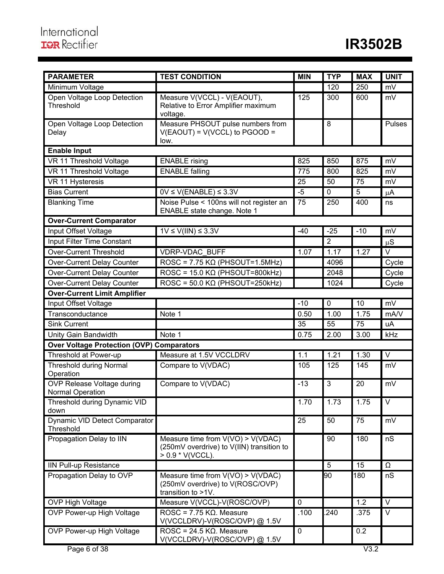| <b>PARAMETER</b>                                 | <b>TEST CONDITION</b>                                                                                  | <b>MIN</b>  | <b>TYP</b>     | <b>MAX</b> | <b>UNIT</b>       |
|--------------------------------------------------|--------------------------------------------------------------------------------------------------------|-------------|----------------|------------|-------------------|
| Minimum Voltage                                  |                                                                                                        |             | 120            | 250        | mV                |
| Open Voltage Loop Detection<br>Threshold         | Measure V(VCCL) - V(EAOUT),<br>Relative to Error Amplifier maximum<br>voltage.                         | 125         | 300            | 600        | mV                |
| Open Voltage Loop Detection<br>Delay             | Measure PHSOUT pulse numbers from<br>$V(EAOUT) = V(VCCL)$ to $PGOOD =$<br>low.                         |             | 8              |            | Pulses            |
| <b>Enable Input</b>                              |                                                                                                        |             |                |            |                   |
| VR 11 Threshold Voltage                          | <b>ENABLE</b> rising                                                                                   | 825         | 850            | 875        | mV                |
| VR 11 Threshold Voltage                          | <b>ENABLE</b> falling                                                                                  | 775         | 800            | 825        | mV                |
| VR 11 Hysteresis                                 |                                                                                                        | 25          | 50             | 75         | mV                |
| <b>Bias Current</b>                              | $0V \leq V(\text{ENABLE}) \leq 3.3V$                                                                   | $-5$        | $\mathbf 0$    | 5          | $\mu$ A           |
| <b>Blanking Time</b>                             | Noise Pulse < 100ns will not register an<br>ENABLE state change. Note 1                                | 75          | 250            | 400        | ns                |
| <b>Over-Current Comparator</b>                   |                                                                                                        |             |                |            |                   |
| Input Offset Voltage                             | $1V \le V(III) \le 3.3V$                                                                               | $-40$       | $-25$          | $-10$      | mV                |
| Input Filter Time Constant                       |                                                                                                        |             | $\overline{2}$ |            | $\mu S$           |
| <b>Over-Current Threshold</b>                    | <b>VDRP-VDAC BUFF</b>                                                                                  | 1.07        | 1.17           | 1.27       | $\overline{\vee}$ |
| <b>Over-Current Delay Counter</b>                | $ROSC = 7.75 K\Omega (PHSOUT=1.5MHz)$                                                                  |             | 4096           |            | Cycle             |
| Over-Current Delay Counter                       | $ROSC = 15.0 K\Omega (PHSOUT=800kHz)$                                                                  |             | 2048           |            | Cycle             |
| Over-Current Delay Counter                       | $ROSC = 50.0 K\Omega$ (PHSOUT=250kHz)                                                                  |             | 1024           |            | Cycle             |
| <b>Over-Current Limit Amplifier</b>              |                                                                                                        |             |                |            |                   |
| Input Offset Voltage                             |                                                                                                        | $-10$       | $\mathbf 0$    | 10         | mV                |
| Transconductance                                 | Note 1                                                                                                 | 0.50        | 1.00           | 1.75       | mA/V              |
| <b>Sink Current</b>                              |                                                                                                        | 35          | 55             | 75         | uA                |
| Unity Gain Bandwidth                             | Note 1                                                                                                 | 0.75        | 2.00           | 3.00       | kHz               |
| <b>Over Voltage Protection (OVP) Comparators</b> |                                                                                                        |             |                |            |                   |
| Threshold at Power-up                            | Measure at 1.5V VCCLDRV                                                                                | 1.1         | 1.21           | 1.30       | $\overline{\vee}$ |
| <b>Threshold during Normal</b><br>Operation      | Compare to V(VDAC)                                                                                     | 105         | 125            | 145        | mV                |
| OVP Release Voltage during<br>Normal Operation   | Compare to V(VDAC)                                                                                     | $-13$       | $\mathbf{3}$   | 20         | mV                |
| Threshold during Dynamic VID<br>down             |                                                                                                        | 1.70        | 1.73           | 1.75       | V                 |
| Dynamic VID Detect Comparator<br>Threshold       |                                                                                                        | 25          | 50             | 75         | mV                |
| Propagation Delay to IIN                         | Measure time from $V(VO) > V(VDAC)$<br>(250mV overdrive) to V(IIN) transition to<br>$> 0.9$ * V(VCCL). |             | 90             | 180        | nS                |
| IIN Pull-up Resistance                           |                                                                                                        |             | $\overline{5}$ | 15         | Ω                 |
| Propagation Delay to OVP                         | Measure time from $V(VO) > V(VDAC)$<br>(250mV overdrive) to V(ROSC/OVP)<br>transition to >1V.          |             | 90             | 180        | nS                |
| OVP High Voltage                                 | Measure V(VCCL)-V(ROSC/OVP)                                                                            | $\mathbf 0$ |                | 1.2        | $\vee$            |
| OVP Power-up High Voltage                        | ROSC = $7.75$ K $\Omega$ . Measure<br>V(VCCLDRV)-V(ROSC/OVP) @ 1.5V                                    | .100        | 240            | .375       | $\vee$            |
| OVP Power-up High Voltage                        | $ROSC = 24.5 KQ$ . Measure<br>V(VCCLDRV)-V(ROSC/OVP) @ 1.5V                                            | $\mathbf 0$ |                | 0.2        |                   |
| Page 6 of 38                                     |                                                                                                        |             |                | V3.2       |                   |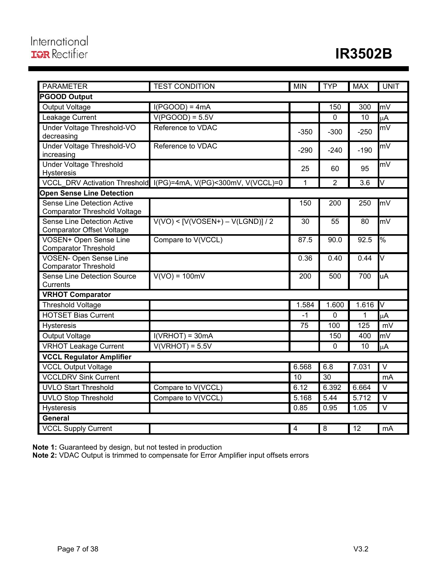| <b>PARAMETER</b>                                                   | <b>TEST CONDITION</b>             | <b>MIN</b>              | <b>TYP</b> | <b>MAX</b> | <b>UNIT</b>             |
|--------------------------------------------------------------------|-----------------------------------|-------------------------|------------|------------|-------------------------|
| <b>PGOOD Output</b>                                                |                                   |                         |            |            |                         |
| Output Voltage                                                     | $I(PGOOD) = 4mA$                  |                         | 150        | 300        | mV                      |
| Leakage Current                                                    | $V(PGOOD) = 5.5V$                 |                         | 0          | 10         | μA                      |
| Under Voltage Threshold-VO<br>decreasing                           | Reference to VDAC                 | $-350$                  | $-300$     | $-250$     | mV                      |
| Under Voltage Threshold-VO<br>increasing                           | Reference to VDAC                 | $-290$                  | $-240$     | $-190$     | mV                      |
| <b>Under Voltage Threshold</b><br>Hysteresis                       |                                   | 25                      | 60         | 95         | mV                      |
| <b>VCCL DRV Activation Threshold</b>                               | I(PG)=4mA, V(PG)<300mV, V(VCCL)=0 | 1                       | 2          | 3.6        | $\overline{\mathsf{V}}$ |
| <b>Open Sense Line Detection</b>                                   |                                   |                         |            |            |                         |
| Sense Line Detection Active<br><b>Comparator Threshold Voltage</b> |                                   | 150                     | 200        | 250        | mV                      |
| Sense Line Detection Active<br><b>Comparator Offset Voltage</b>    | $V(VO) < [V(VOSEN+) - V(LGND)]/2$ | 30                      | 55         | 80         | mV                      |
| VOSEN+ Open Sense Line<br><b>Comparator Threshold</b>              | Compare to V(VCCL)                | 87.5                    | 90.0       | 92.5       | %                       |
| <b>VOSEN- Open Sense Line</b><br><b>Comparator Threshold</b>       |                                   | 0.36                    | 0.40       | 0.44       | $\overline{\mathsf{v}}$ |
| <b>Sense Line Detection Source</b><br>Currents                     | $V(VO) = 100mV$                   | $\overline{2}00$        | 500        | 700        | uA                      |
| <b>VRHOT Comparator</b>                                            |                                   |                         |            |            |                         |
| Threshold Voltage                                                  |                                   | 1.584                   | 1.600      | 1.616      | Δ                       |
| <b>HOTSET Bias Current</b>                                         |                                   | $-1$                    | 0          | 1          | μA                      |
| Hysteresis                                                         |                                   | 75                      | 100        | 125        | mV                      |
| Output Voltage                                                     | $I(VRHOT) = 30mA$                 |                         | 150        | 400        | mV                      |
| <b>VRHOT Leakage Current</b>                                       | $V(VRHOT) = 5.5V$                 |                         | 0          | 10         | μA                      |
| <b>VCCL Regulator Amplifier</b>                                    |                                   |                         |            |            |                         |
| <b>VCCL Output Voltage</b>                                         |                                   | 6.568                   | 6.8        | 7.031      | $\overline{\vee}$       |
| <b>VCCLDRV Sink Current</b>                                        |                                   | 10                      | 30         |            | mA                      |
| <b>UVLO Start Threshold</b>                                        | Compare to V(VCCL)                | 6.12                    | 6.392      | 6.664      | $\overline{\vee}$       |
| <b>UVLO Stop Threshold</b>                                         | Compare to V(VCCL)                | 5.168                   | 5.44       | 5.712      | $\overline{\vee}$       |
| Hysteresis                                                         |                                   | 0.85                    | 0.95       | 1.05       | $\mathsf{V}$            |
| <b>General</b>                                                     |                                   |                         |            |            |                         |
| <b>VCCL Supply Current</b>                                         |                                   | $\overline{\mathbf{4}}$ | $\bf 8$    | 12         | mA                      |

**Note 1:** Guaranteed by design, but not tested in production

**Note 2:** VDAC Output is trimmed to compensate for Error Amplifier input offsets errors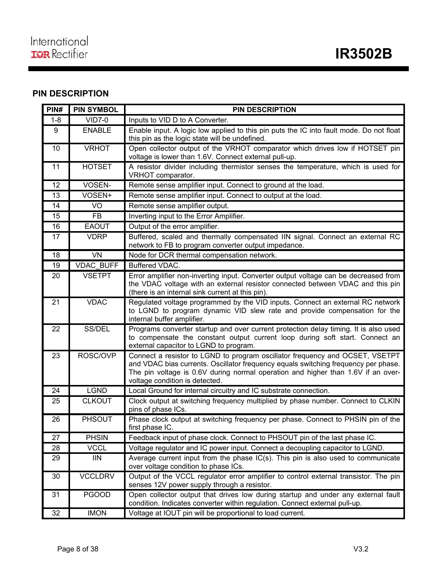## **PIN DESCRIPTION**

| PIN#    | <b>PIN SYMBOL</b> | <b>PIN DESCRIPTION</b>                                                                                                                                                                                                                                                                   |
|---------|-------------------|------------------------------------------------------------------------------------------------------------------------------------------------------------------------------------------------------------------------------------------------------------------------------------------|
| $1 - 8$ | $VID7-0$          | Inputs to VID D to A Converter.                                                                                                                                                                                                                                                          |
| 9       | <b>ENABLE</b>     | Enable input. A logic low applied to this pin puts the IC into fault mode. Do not float<br>this pin as the logic state will be undefined.                                                                                                                                                |
| 10      | <b>VRHOT</b>      | Open collector output of the VRHOT comparator which drives low if HOTSET pin<br>voltage is lower than 1.6V. Connect external pull-up.                                                                                                                                                    |
| 11      | <b>HOTSET</b>     | A resistor divider including thermistor senses the temperature, which is used for<br>VRHOT comparator.                                                                                                                                                                                   |
| 12      | VOSEN-            | Remote sense amplifier input. Connect to ground at the load.                                                                                                                                                                                                                             |
| 13      | VOSEN+            | Remote sense amplifier input. Connect to output at the load.                                                                                                                                                                                                                             |
| 14      | VO                | Remote sense amplifier output.                                                                                                                                                                                                                                                           |
| 15      | <b>FB</b>         | Inverting input to the Error Amplifier.                                                                                                                                                                                                                                                  |
| 16      | <b>EAOUT</b>      | Output of the error amplifier.                                                                                                                                                                                                                                                           |
| 17      | <b>VDRP</b>       | Buffered, scaled and thermally compensated IIN signal. Connect an external RC<br>network to FB to program converter output impedance.                                                                                                                                                    |
| 18      | <b>VN</b>         | Node for DCR thermal compensation network.                                                                                                                                                                                                                                               |
| 19      | VDAC_BUFF         | Buffered VDAC.                                                                                                                                                                                                                                                                           |
| 20      | <b>VSETPT</b>     | Error amplifier non-inverting input. Converter output voltage can be decreased from<br>the VDAC voltage with an external resistor connected between VDAC and this pin<br>(there is an internal sink current at this pin).                                                                |
| 21      | <b>VDAC</b>       | Regulated voltage programmed by the VID inputs. Connect an external RC network<br>to LGND to program dynamic VID slew rate and provide compensation for the<br>internal buffer amplifier.                                                                                                |
| 22      | SS/DEL            | Programs converter startup and over current protection delay timing. It is also used<br>to compensate the constant output current loop during soft start. Connect an<br>external capacitor to LGND to program.                                                                           |
| 23      | ROSC/OVP          | Connect a resistor to LGND to program oscillator frequency and OCSET, VSETPT<br>and VDAC bias currents. Oscillator frequency equals switching frequency per phase.<br>The pin voltage is 0.6V during normal operation and higher than 1.6V if an over-<br>voltage condition is detected. |
| 24      | <b>LGND</b>       | Local Ground for internal circuitry and IC substrate connection.                                                                                                                                                                                                                         |
| 25      | <b>CLKOUT</b>     | Clock output at switching frequency multiplied by phase number. Connect to CLKIN<br>pins of phase ICs.                                                                                                                                                                                   |
| 26      | PHSOUT            | Phase clock output at switching frequency per phase. Connect to PHSIN pin of the<br>first phase IC.                                                                                                                                                                                      |
| 27      | <b>PHSIN</b>      | Feedback input of phase clock. Connect to PHSOUT pin of the last phase IC.                                                                                                                                                                                                               |
| 28      | <b>VCCL</b>       | Voltage regulator and IC power input. Connect a decoupling capacitor to LGND.                                                                                                                                                                                                            |
| 29      | <b>IIN</b>        | Average current input from the phase IC(s). This pin is also used to communicate<br>over voltage condition to phase ICs.                                                                                                                                                                 |
| 30      | <b>VCCLDRV</b>    | Output of the VCCL regulator error amplifier to control external transistor. The pin<br>senses 12V power supply through a resistor.                                                                                                                                                      |
| 31      | <b>PGOOD</b>      | Open collector output that drives low during startup and under any external fault<br>condition. Indicates converter within regulation. Connect external pull-up.                                                                                                                         |
| 32      | <b>IMON</b>       | Voltage at IOUT pin will be proportional to load current.                                                                                                                                                                                                                                |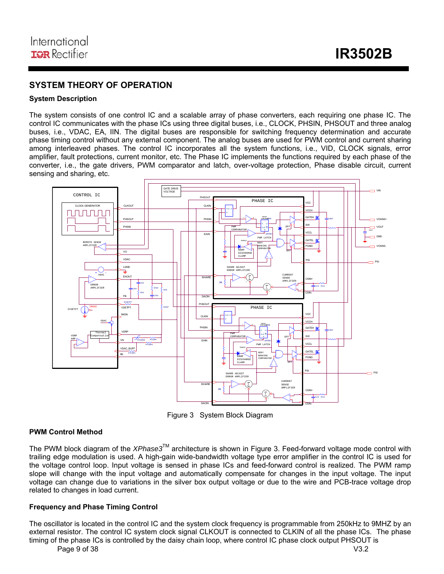## **SYSTEM THEORY OF OPERATION**

#### **System Description**

The system consists of one control IC and a scalable array of phase converters, each requiring one phase IC. The control IC communicates with the phase ICs using three digital buses, i.e., CLOCK, PHSIN, PHSOUT and three analog buses, i.e., VDAC, EA, IIN. The digital buses are responsible for switching frequency determination and accurate phase timing control without any external component. The analog buses are used for PWM control and current sharing among interleaved phases. The control IC incorporates all the system functions, i.e., VID, CLOCK signals, error amplifier, fault protections, current monitor, etc. The Phase IC implements the functions required by each phase of the converter, i.e., the gate drivers, PWM comparator and latch, over-voltage protection, Phase disable circuit, current sensing and sharing, etc.



Figure 3 System Block Diagram

#### **PWM Control Method**

The PWM block diagram of the *XPhase3*TM architecture is shown in Figure 3. Feed-forward voltage mode control with trailing edge modulation is used. A high-gain wide-bandwidth voltage type error amplifier in the control IC is used for the voltage control loop. Input voltage is sensed in phase ICs and feed-forward control is realized. The PWM ramp slope will change with the input voltage and automatically compensate for changes in the input voltage. The input voltage can change due to variations in the silver box output voltage or due to the wire and PCB-trace voltage drop related to changes in load current.

#### **Frequency and Phase Timing Control**

The oscillator is located in the control IC and the system clock frequency is programmable from 250kHz to 9MHZ by an external resistor. The control IC system clock signal CLKOUT is connected to CLKIN of all the phase ICs. The phase timing of the phase ICs is controlled by the daisy chain loop, where control IC phase clock output PHSOUT is

Page 9 of 38 V3.2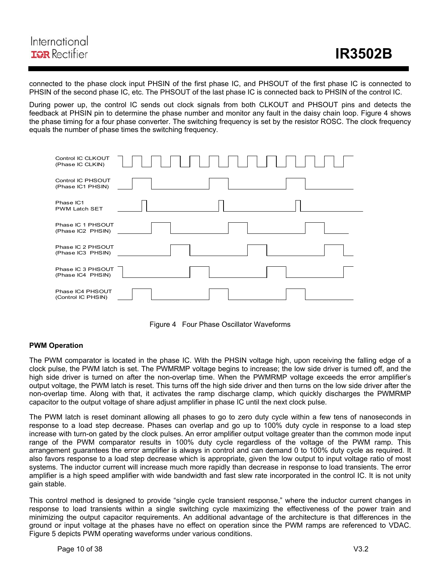connected to the phase clock input PHSIN of the first phase IC, and PHSOUT of the first phase IC is connected to PHSIN of the second phase IC, etc. The PHSOUT of the last phase IC is connected back to PHSIN of the control IC.

During power up, the control IC sends out clock signals from both CLKOUT and PHSOUT pins and detects the feedback at PHSIN pin to determine the phase number and monitor any fault in the daisy chain loop. Figure 4 shows the phase timing for a four phase converter. The switching frequency is set by the resistor ROSC. The clock frequency equals the number of phase times the switching frequency.





#### **PWM Operation**

The PWM comparator is located in the phase IC. With the PHSIN voltage high, upon receiving the falling edge of a clock pulse, the PWM latch is set. The PWMRMP voltage begins to increase; the low side driver is turned off, and the high side driver is turned on after the non-overlap time. When the PWMRMP voltage exceeds the error amplifier's output voltage, the PWM latch is reset. This turns off the high side driver and then turns on the low side driver after the non-overlap time. Along with that, it activates the ramp discharge clamp, which quickly discharges the PWMRMP capacitor to the output voltage of share adjust amplifier in phase IC until the next clock pulse.

The PWM latch is reset dominant allowing all phases to go to zero duty cycle within a few tens of nanoseconds in response to a load step decrease. Phases can overlap and go up to 100% duty cycle in response to a load step increase with turn-on gated by the clock pulses. An error amplifier output voltage greater than the common mode input range of the PWM comparator results in 100% duty cycle regardless of the voltage of the PWM ramp. This arrangement guarantees the error amplifier is always in control and can demand 0 to 100% duty cycle as required. It also favors response to a load step decrease which is appropriate, given the low output to input voltage ratio of most systems. The inductor current will increase much more rapidly than decrease in response to load transients. The error amplifier is a high speed amplifier with wide bandwidth and fast slew rate incorporated in the control IC. It is not unity gain stable.

This control method is designed to provide "single cycle transient response," where the inductor current changes in response to load transients within a single switching cycle maximizing the effectiveness of the power train and minimizing the output capacitor requirements. An additional advantage of the architecture is that differences in the ground or input voltage at the phases have no effect on operation since the PWM ramps are referenced to VDAC. Figure 5 depicts PWM operating waveforms under various conditions.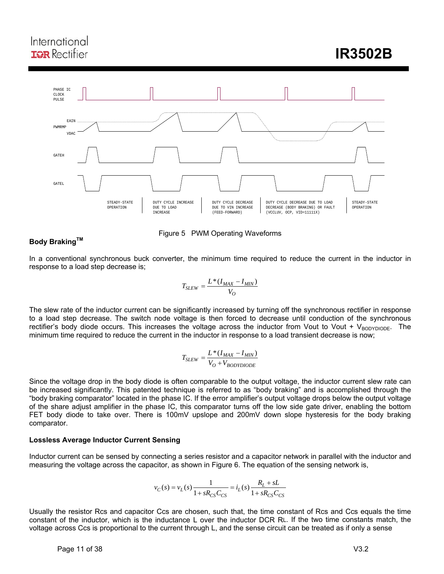## International **IQR** Rectifier

 **IR3502B** 



#### Figure 5 PWM Operating Waveforms

#### **Body Braking™**

In a conventional synchronous buck converter, the minimum time required to reduce the current in the inductor in response to a load step decrease is;

$$
T_{SLEW} = \frac{L*(I_{MAX} - I_{MIN})}{V_O}
$$

The slew rate of the inductor current can be significantly increased by turning off the synchronous rectifier in response to a load step decrease. The switch node voltage is then forced to decrease until conduction of the synchronous rectifier's body diode occurs. This increases the voltage across the inductor from Vout to Vout + VBODYDIODE. The minimum time required to reduce the current in the inductor in response to a load transient decrease is now;

$$
T_{SLEW} = \frac{L*(I_{MAX} - I_{MIN})}{V_O + V_{BODYDIODE}}
$$

Since the voltage drop in the body diode is often comparable to the output voltage, the inductor current slew rate can be increased significantly. This patented technique is referred to as "body braking" and is accomplished through the "body braking comparator" located in the phase IC. If the error amplifier's output voltage drops below the output voltage of the share adjust amplifier in the phase IC, this comparator turns off the low side gate driver, enabling the bottom FET body diode to take over. There is 100mV upslope and 200mV down slope hysteresis for the body braking comparator.

#### **Lossless Average Inductor Current Sensing**

Inductor current can be sensed by connecting a series resistor and a capacitor network in parallel with the inductor and measuring the voltage across the capacitor, as shown in Figure 6. The equation of the sensing network is,

$$
v_C(s) = v_L(s) \frac{1}{1 + sR_{CS}C_{CS}} = i_L(s) \frac{R_L + sL}{1 + sR_{CS}C_{CS}}
$$

Usually the resistor Rcs and capacitor Ccs are chosen, such that, the time constant of Rcs and Ccs equals the time constant of the inductor, which is the inductance L over the inductor DCR RL. If the two time constants match, the voltage across Ccs is proportional to the current through L, and the sense circuit can be treated as if only a sense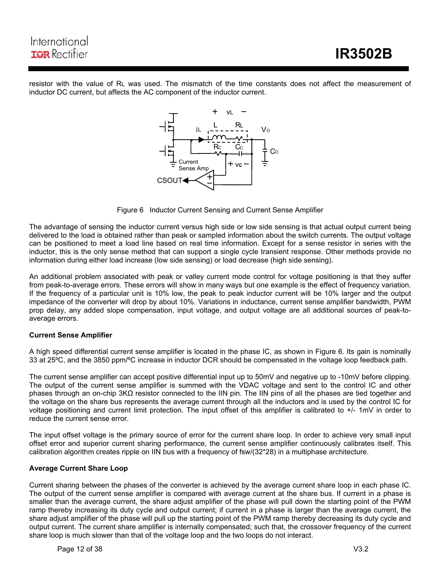

resistor with the value of RL was used. The mismatch of the time constants does not affect the measurement of inductor DC current, but affects the AC component of the inductor current.



Figure 6 Inductor Current Sensing and Current Sense Amplifier

The advantage of sensing the inductor current versus high side or low side sensing is that actual output current being delivered to the load is obtained rather than peak or sampled information about the switch currents. The output voltage can be positioned to meet a load line based on real time information. Except for a sense resistor in series with the inductor, this is the only sense method that can support a single cycle transient response. Other methods provide no information during either load increase (low side sensing) or load decrease (high side sensing).

An additional problem associated with peak or valley current mode control for voltage positioning is that they suffer from peak-to-average errors. These errors will show in many ways but one example is the effect of frequency variation. If the frequency of a particular unit is 10% low, the peak to peak inductor current will be 10% larger and the output impedance of the converter will drop by about 10%. Variations in inductance, current sense amplifier bandwidth, PWM prop delay, any added slope compensation, input voltage, and output voltage are all additional sources of peak-toaverage errors.

#### **Current Sense Amplifier**

A high speed differential current sense amplifier is located in the phase IC, as shown in Figure 6. Its gain is nominally 33 at 25ºC, and the 3850 ppm/ºC increase in inductor DCR should be compensated in the voltage loop feedback path.

The current sense amplifier can accept positive differential input up to 50mV and negative up to -10mV before clipping. The output of the current sense amplifier is summed with the VDAC voltage and sent to the control IC and other phases through an on-chip 3KΩ resistor connected to the IIN pin. The IIN pins of all the phases are tied together and the voltage on the share bus represents the average current through all the inductors and is used by the control IC for voltage positioning and current limit protection. The input offset of this amplifier is calibrated to +/- 1mV in order to reduce the current sense error.

The input offset voltage is the primary source of error for the current share loop. In order to achieve very small input offset error and superior current sharing performance, the current sense amplifier continuously calibrates itself. This calibration algorithm creates ripple on IIN bus with a frequency of fsw/(32\*28) in a multiphase architecture.

#### **Average Current Share Loop**

Current sharing between the phases of the converter is achieved by the average current share loop in each phase IC. The output of the current sense amplifier is compared with average current at the share bus. If current in a phase is smaller than the average current, the share adjust amplifier of the phase will pull down the starting point of the PWM ramp thereby increasing its duty cycle and output current; if current in a phase is larger than the average current, the share adjust amplifier of the phase will pull up the starting point of the PWM ramp thereby decreasing its duty cycle and output current. The current share amplifier is internally compensated; such that, the crossover frequency of the current share loop is much slower than that of the voltage loop and the two loops do not interact.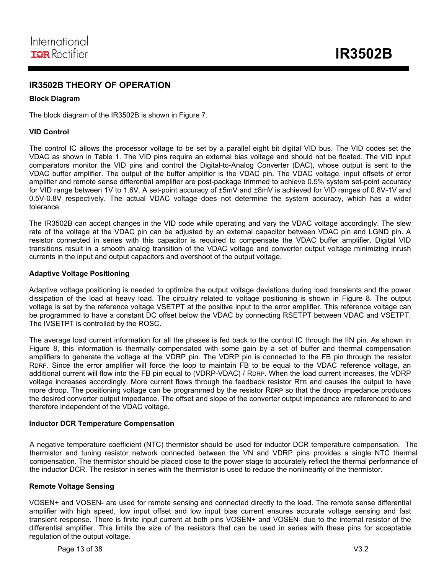## **IR3502B THEORY OF OPERATION**

#### **Block Diagram**

The block diagram of the IR3502B is shown in Figure 7.

#### **VID Control**

The control IC allows the processor voltage to be set by a parallel eight bit digital VID bus. The VID codes set the VDAC as shown in Table 1. The VID pins require an external bias voltage and should not be floated. The VID input comparators monitor the VID pins and control the Digital-to-Analog Converter (DAC), whose output is sent to the VDAC buffer amplifier. The output of the buffer amplifier is the VDAC pin. The VDAC voltage, input offsets of error amplifier and remote sense differential amplifier are post-package trimmed to achieve 0.5% system set-point accuracy for VID range between 1V to 1.6V. A set-point accuracy of  $\pm 5$ mV and  $\pm 8$ mV is achieved for VID ranges of 0.8V-1V and 0.5V-0.8V respectively. The actual VDAC voltage does not determine the system accuracy, which has a wider tolerance.

The IR3502B can accept changes in the VID code while operating and vary the VDAC voltage accordingly. The slew rate of the voltage at the VDAC pin can be adjusted by an external capacitor between VDAC pin and LGND pin. A resistor connected in series with this capacitor is required to compensate the VDAC buffer amplifier. Digital VID transitions result in a smooth analog transition of the VDAC voltage and converter output voltage minimizing inrush currents in the input and output capacitors and overshoot of the output voltage.

#### **Adaptive Voltage Positioning**

Adaptive voltage positioning is needed to optimize the output voltage deviations during load transients and the power dissipation of the load at heavy load. The circuitry related to voltage positioning is shown in Figure 8. The output voltage is set by the reference voltage VSETPT at the positive input to the error amplifier. This reference voltage can be programmed to have a constant DC offset below the VDAC by connecting RSETPT between VDAC and VSETPT. The IVSETPT is controlled by the ROSC.

The average load current information for all the phases is fed back to the control IC through the IIN pin. As shown in Figure 8, this information is thermally compensated with some gain by a set of buffer and thermal compensation amplifiers to generate the voltage at the VDRP pin. The VDRP pin is connected to the FB pin through the resistor RDRP. Since the error amplifier will force the loop to maintain FB to be equal to the VDAC reference voltage, an additional current will flow into the FB pin equal to (VDRP-VDAC) / RDRP. When the load current increases, the VDRP voltage increases accordingly. More current flows through the feedback resistor RFB and causes the output to have more droop. The positioning voltage can be programmed by the resistor RDRP so that the droop impedance produces the desired converter output impedance. The offset and slope of the converter output impedance are referenced to and therefore independent of the VDAC voltage.

#### **Inductor DCR Temperature Compensation**

A negative temperature coefficient (NTC) thermistor should be used for inductor DCR temperature compensation. The thermistor and tuning resistor network connected between the VN and VDRP pins provides a single NTC thermal compensation. The thermistor should be placed close to the power stage to accurately reflect the thermal performance of the inductor DCR. The resistor in series with the thermistor is used to reduce the nonlinearity of the thermistor.

#### **Remote Voltage Sensing**

VOSEN+ and VOSEN- are used for remote sensing and connected directly to the load. The remote sense differential amplifier with high speed, low input offset and low input bias current ensures accurate voltage sensing and fast transient response. There is finite input current at both pins VOSEN+ and VOSEN- due to the internal resistor of the differential amplifier. This limits the size of the resistors that can be used in series with these pins for acceptable regulation of the output voltage.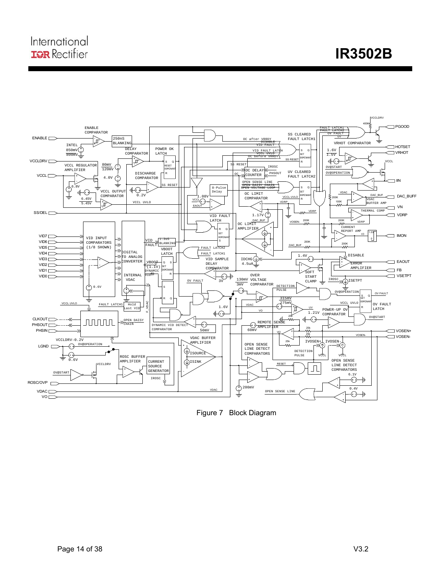**IR3502B** 



ı

Figure 7 Block Diagram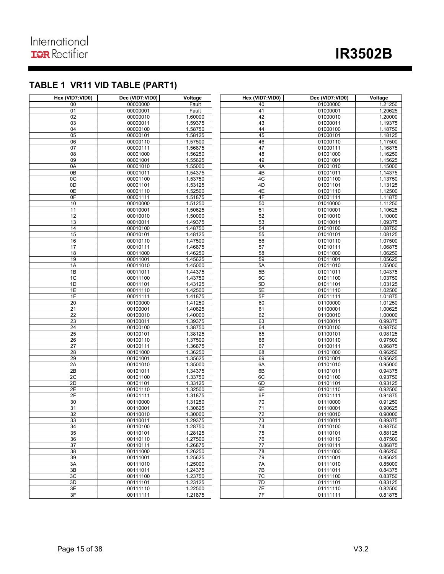## **TABLE 1 VR11 VID TABLE (PART1)**

| Hex (VID7:VID0)       | Dec (VID7:VID0)      | Voltage            | Hex (VID7:VID0) | Dec (VID7:VID0)      | Voltage            |
|-----------------------|----------------------|--------------------|-----------------|----------------------|--------------------|
| 00                    | 00000000             | Fault              | 40              | 01000000             | 1.21250            |
| 01                    | 00000001             | Fault              | 41              | 01000001             | 1.20625            |
| 02                    | 00000010             | 1.60000            | 42              | 01000010             | 1.20000            |
| 03                    | 00000011             | 1.59375            | 43              | 01000011             | 1.19375            |
| 04                    | 00000100             | 1.58750            | 44              | 01000100             | 1.18750            |
| 05                    | 00000101             | 1.58125            | 45              | 01000101             | 1.18125            |
| 06                    | 00000110             | 1.57500            | 46              | 01000110             | 1.17500            |
| 07                    | 00000111             | 1.56875            | 47              | 01000111             | 1.16875            |
| $\overline{08}$       | 00001000             | 1.56250            | 48              | 01001000             | 1.16250            |
| 09                    | 00001001             | 1.55625            | 49              | 01001001<br>01001010 | 1.15625            |
| 0A<br>$\overline{OB}$ | 00001010<br>00001011 | 1.55000            | 4A<br>4B        | 01001011             | 1.15000            |
| 0C                    | 00001100             | 1.54375<br>1.53750 | 4C              | 01001100             | 1.14375<br>1.13750 |
| 0D                    | 00001101             | 1.53125            | 4 <sub>D</sub>  | 01001101             | 1.13125            |
| 0E                    | 00001110             | 1.52500            | 4E              | 01001110             | 1.12500            |
| 0 <sub>F</sub>        | 00001111             | 1.51875            | 4F              | 01001111             | 1.11875            |
| 10                    | 00010000             | 1.51250            | 50              | 01010000             | 1.11250            |
| $\overline{11}$       | 00010001             | 1.50625            | 51              | 01010001             | 1.10625            |
| 12                    | 00010010             | 1.50000            | 52              | 01010010             | 1.10000            |
| 13                    | 00010011             | 1.49375            | 53              | 01010011             | 1.09375            |
| 14                    | 00010100             | 1.48750            | 54              | 01010100             | 1.08750            |
| 15                    | 00010101             | 1.48125            | 55              | 01010101             | 1.08125            |
| 16                    | 00010110             | 1.47500            | 56              | 01010110             | 1.07500            |
| 17                    | 00010111             | 1.46875            | 57              | 01010111             | 1.06875            |
| 18                    | 00011000             | 1.46250            | 58              | 01011000             | 1.06250            |
| 19                    | 00011001             | 1.45625            | 59              | 01011001             | 1.05625            |
| 1A                    | 00011010             | 1.45000            | 5A              | 01011010             | 1.05000            |
| 1B                    | 00011011             | 1.44375            | 5B              | 01011011             | 1.04375            |
| 1C                    | 00011100             | 1.43750            | 5C              | 01011100             | 1.03750            |
| 1D                    | 00011101             | 1.43125            | 5D              | 01011101             | 1.03125            |
| 1E                    | 00011110             | 1.42500            | 5E              | 01011110             | 1.02500            |
| 1F                    | 00011111             | 1.41875            | 5F              | 01011111             | 1.01875            |
| 20<br>21              | 00100000             | 1.41250            | 60<br>61        | 01100000             | 1.01250            |
| $\overline{22}$       | 00100001<br>00100010 | 1.40625<br>1.40000 | 62              | 01100001<br>01100010 | 1.00625<br>1.00000 |
| 23                    | 00100011             | 1.39375            | 63              | 01100011             | 0.99375            |
| 24                    | 00100100             | 1.38750            | 64              | 01100100             | 0.98750            |
| 25                    | 00100101             | 1.38125            | 65              | 01100101             | 0.98125            |
| 26                    | 00100110             | 1.37500            | 66              | 01100110             | 0.97500            |
| 27                    | 00100111             | 1.36875            | 67              | 01100111             | 0.96875            |
| 28                    | 00101000             | 1.36250            | 68              | 01101000             | 0.96250            |
| 29                    | 00101001             | 1.35625            | 69              | 01101001             | 0.95625            |
| 2A                    | 00101010             | 1.35000            | 6A              | 01101010             | 0.95000            |
| 2B                    | 00101011             | 1.34375            | 6B              | 01101011             | 0.94375            |
| 2C                    | 00101100             | 1.33750            | 6C              | 01101100             | 0.93750            |
| 2D                    | 00101101             | 1.33125            | 6D              | 01101101             | 0.93125            |
| 2E                    | 00101110             | 1.32500            | 6E              | 01101110             | 0.92500            |
| 2F                    | 00101111             | 1.31875            | 6F              | 01101111             | 0.91875            |
| 30                    | 00110000             | 1.31250            | 70              | 01110000             | 0.91250            |
| 31                    | 00110001             | 1.30625            | 71              | 01110001             | 0.90625            |
| 32                    | 00110010             | 1.30000            | 72              | 01110010             | 0.90000            |
| 33                    | 00110011             | 1.29375<br>1.28750 | 73<br>74        | 01110011             | 0.89375            |
| 34<br>35              | 00110100<br>00110101 | 1.28125            | 75              | 01110100<br>01110101 | 0.88750<br>0.88125 |
| 36                    | 00110110             | 1.27500            | 76              | 01110110             | 0.87500            |
| 37                    | 00110111             | 1.26875            | 77              | 01110111             | 0.86875            |
| 38                    | 00111000             | 1.26250            | 78              | 01111000             | 0.86250            |
| 39                    | 00111001             | 1.25625            | 79              | 01111001             | 0.85625            |
| 3A                    | 00111010             | 1.25000            | 7A              | 01111010             | 0.85000            |
| 3B                    | 00111011             | 1.24375            | 7B              | 01111011             | 0.84375            |
| 3C                    | 00111100             | 1.23750            | 7C              | 01111100             | 0.83750            |
| 3D                    | 00111101             | 1.23125            | 7D              | 01111101             | 0.83125            |
| 3E                    | 00111110             | 1.22500            | 7E              | 01111110             | 0.82500            |
| 3F                    | 00111111             | 1.21875            | 7F              | 01111111             | 0.81875            |

ı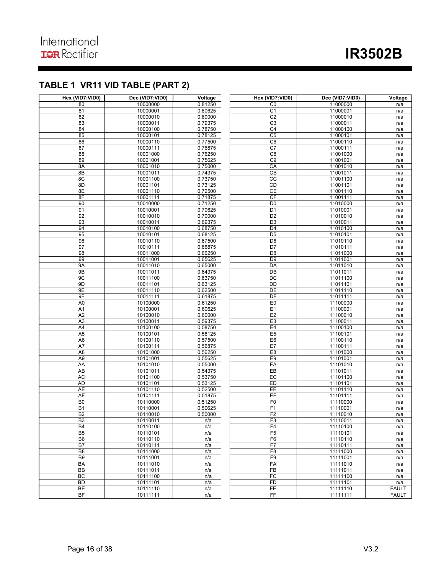## **TABLE 1 VR11 VID TABLE (PART 2)**

| Hex (VID7:VID0)      | Dec (VID7:VID0)      | Voltage            | Hex (VID7:VID0) | Dec (VID7:VID0)      | Voltage      |
|----------------------|----------------------|--------------------|-----------------|----------------------|--------------|
| 80                   | 10000000             | 0.81250            | C <sub>0</sub>  | 11000000             | n/a          |
| 81                   | 10000001             | 0.80625            | C <sub>1</sub>  | 11000001             | n/a          |
| 82                   | 10000010             | 0.80000            | C <sub>2</sub>  | 11000010             | n/a          |
| 83                   | 10000011             | 0.79375            | C3              | 11000011             | n/a          |
| 84                   | 10000100             | 0.78750            | C4              | 11000100             | n/a          |
| 85                   | 10000101             | 0.78125            | C <sub>5</sub>  | 11000101             | n/a          |
| 86                   | 10000110             | 0.77500            | C6              | 11000110             | n/a          |
| 87                   | 10000111             | 0.76875            | C <sub>7</sub>  | 11000111             | n/a          |
| 88                   | 10001000             | 0.76250            | C8              | 11001000             | n/a          |
| 89                   | 10001001             | 0.75625            | C <sub>9</sub>  | 11001001             | n/a          |
| 8A                   | 10001010             | 0.75000            | CA              | 11001010             | n/a          |
| 8B                   | 10001011             | 0.74375            | CB              | 11001011             | n/a          |
| 8C                   | 10001100             | 0.73750            | cc              | 11001100             | n/a          |
| 8D                   | 10001101             | 0.73125            | CD              | 11001101             | n/a          |
| 8E                   | 10001110             | 0.72500            | <b>CE</b>       | 11001110             | n/a          |
| 8F                   | 10001111             | 0.71875            | CF              | 11001111             | n/a          |
| 90                   | 10010000             | 0.71250            | D <sub>0</sub>  | 11010000             | n/a          |
| 91                   | 10010001             | 0.70625            | D <sub>1</sub>  | 11010001             | n/a          |
| 92                   | 10010010             | 0.70000            | D <sub>2</sub>  | 11010010             | n/a          |
| 93                   | 10010011             | 0.69375            | $\overline{D3}$ | 11010011             | n/a          |
| 94                   | 10010100             | 0.68750            | D <sub>4</sub>  | 11010100             | n/a          |
| 95                   | 10010101             | 0.68125            | D <sub>5</sub>  | 11010101             | n/a          |
| 96                   | 10010110             | 0.67500            | D <sub>6</sub>  | 11010110             | n/a          |
| 97                   | 10010111             | 0.66875            | $\overline{D7}$ | 11010111             | n/a          |
| 98                   | 10011000             | 0.66250            | D <sub>8</sub>  | 11011000             | n/a          |
| 99                   | 10011001             | 0.65625            | D <sub>9</sub>  | 11011001             | n/a          |
| <b>9A</b>            | 10011010             | 0.65000            | DA              | 11011010             | n/a          |
| 9B                   | 10011011             | 0.64375            | $\overline{DB}$ | 11011011             | n/a          |
| 9C<br>9 <sub>D</sub> | 10011100             | 0.63750<br>0.63125 | <b>DC</b>       | 11011100<br>11011101 | n/a          |
| 9E                   | 10011101             |                    | DD<br>DE        | 11011110             | n/a          |
| 9F                   | 10011110             | 0.62500<br>0.61875 | DF              | 11011111             | n/a<br>n/a   |
| A <sub>0</sub>       | 10011111<br>10100000 | 0.61250            | E <sub>0</sub>  | 11100000             | n/a          |
| A <sub>1</sub>       | 10100001             | 0.60625            | E1              | 11100001             | n/a          |
| A <sub>2</sub>       | 10100010             | 0.60000            | E2              | 11100010             | n/a          |
| A3                   | 10100011             | 0.59375            | E <sub>3</sub>  | 11100011             | n/a          |
| A4                   | 10100100             | 0.58750            | E <sub>4</sub>  | 11100100             | n/a          |
| A5                   | 10100101             | 0.58125            | E <sub>5</sub>  | 11100101             | n/a          |
| A <sub>6</sub>       | 10100110             | 0.57500            | E <sub>6</sub>  | 11100110             | n/a          |
| A7                   | 10100111             | 0.56875            | E7              | 11100111             | n/a          |
| A <sub>8</sub>       | 10101000             | 0.56250            | E <sub>8</sub>  | 11101000             | n/a          |
| A <sub>9</sub>       | 10101001             | 0.55625            | E <sub>9</sub>  | 11101001             | n/a          |
| AA                   | 10101010             | 0.55000            | EA              | 11101010             | n/a          |
| $\overline{AB}$      | 10101011             | 0.54375            | EB              | 11101011             | n/a          |
| AC                   | 10101100             | 0.53750            | EC              | 11101100             | n/a          |
| <b>AD</b>            | 10101101             | 0.53125            | ED              | 11101101             | n/a          |
| <b>AE</b>            | 10101110             | 0.52500            | EE              | 11101110             | n/a          |
| AF                   | 10101111             | 0.51875            | EF              | 11101111             | n/a          |
| B <sub>0</sub>       | 10110000             | 0.51250            | F <sub>0</sub>  | 11110000             | n/a          |
| B1                   | 10110001             | 0.50625            | F1              | 11110001             | n/a          |
| B <sub>2</sub>       | 10110010             | 0.50000            | F <sub>2</sub>  | 11110010             | n/a          |
| B <sub>3</sub>       | 10110011             | n/a                | F <sub>3</sub>  | 11110011             | n/a          |
| <b>B4</b>            | 10110100             | n/a                | F <sub>4</sub>  | 11110100             | n/a          |
| B <sub>5</sub>       | 10110101             | n/a                | F5              | 11110101             | n/a          |
| B <sub>6</sub>       | 10110110             | n/a                | F <sub>6</sub>  | 11110110             | n/a          |
| B7                   | 10110111             | n/a                | F7              | 11110111             | n/a          |
| B <sub>8</sub>       | 10111000             | n/a                | F8              | 11111000             | n/a          |
| B <sub>9</sub>       | 10111001             | n/a                | F <sub>9</sub>  | 11111001             | n/a          |
| BA                   | 10111010             | n/a                | FA              | 11111010             | n/a          |
| $\overline{BB}$      | 10111011             | n/a                | $\overline{FB}$ | 11111011             | n/a          |
| ВC                   | 10111100             | n/a                | FC              | 11111100             | n/a          |
| <b>BD</b>            | 10111101             | n/a                | <b>FD</b>       | 11111101             | n/a          |
| <b>BE</b>            | 10111110             | n/a                | FE              | 11111110             | <b>FAULT</b> |
| BF                   | 10111111             | n/a                | FF              | 11111111             | <b>FAULT</b> |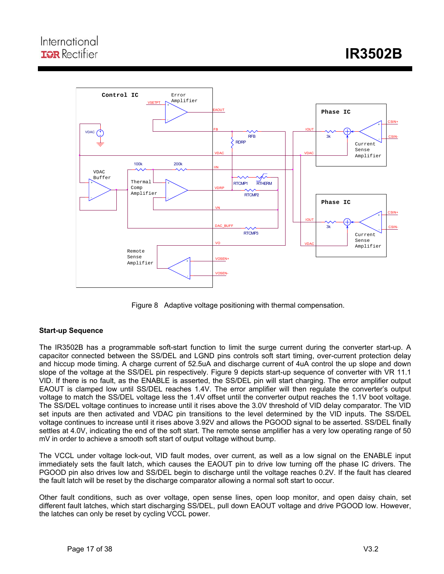

Figure 8 Adaptive voltage positioning with thermal compensation.

### **Start-up Sequence**

The IR3502B has a programmable soft-start function to limit the surge current during the converter start-up. A capacitor connected between the SS/DEL and LGND pins controls soft start timing, over-current protection delay and hiccup mode timing. A charge current of 52.5uA and discharge current of 4uA control the up slope and down slope of the voltage at the SS/DEL pin respectively. Figure 9 depicts start-up sequence of converter with VR 11.1 VID. If there is no fault, as the ENABLE is asserted, the SS/DEL pin will start charging. The error amplifier output EAOUT is clamped low until SS/DEL reaches 1.4V. The error amplifier will then regulate the converter's output voltage to match the SS/DEL voltage less the 1.4V offset until the converter output reaches the 1.1V boot voltage. The SS/DEL voltage continues to increase until it rises above the 3.0V threshold of VID delay comparator. The VID set inputs are then activated and VDAC pin transitions to the level determined by the VID inputs. The SS/DEL voltage continues to increase until it rises above 3.92V and allows the PGOOD signal to be asserted. SS/DEL finally settles at 4.0V, indicating the end of the soft start. The remote sense amplifier has a very low operating range of 50 mV in order to achieve a smooth soft start of output voltage without bump.

The VCCL under voltage lock-out, VID fault modes, over current, as well as a low signal on the ENABLE input immediately sets the fault latch, which causes the EAOUT pin to drive low turning off the phase IC drivers. The PGOOD pin also drives low and SS/DEL begin to discharge until the voltage reaches 0.2V. If the fault has cleared the fault latch will be reset by the discharge comparator allowing a normal soft start to occur.

Other fault conditions, such as over voltage, open sense lines, open loop monitor, and open daisy chain, set different fault latches, which start discharging SS/DEL, pull down EAOUT voltage and drive PGOOD low. However, the latches can only be reset by cycling VCCL power.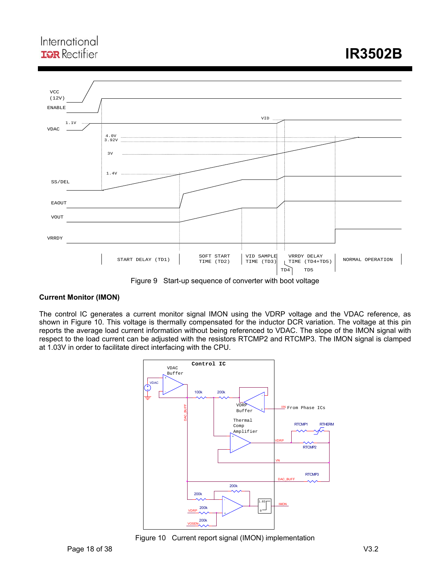## International **IQR** Rectifier



Figure 9 Start-up sequence of converter with boot voltage

### **Current Monitor (IMON)**

The control IC generates a current monitor signal IMON using the VDRP voltage and the VDAC reference, as shown in Figure 10. This voltage is thermally compensated for the inductor DCR variation. The voltage at this pin reports the average load current information without being referenced to VDAC. The slope of the IMON signal with respect to the load current can be adjusted with the resistors RTCMP2 and RTCMP3. The IMON signal is clamped at 1.03V in order to facilitate direct interfacing with the CPU.



Figure 10 Current report signal (IMON) implementation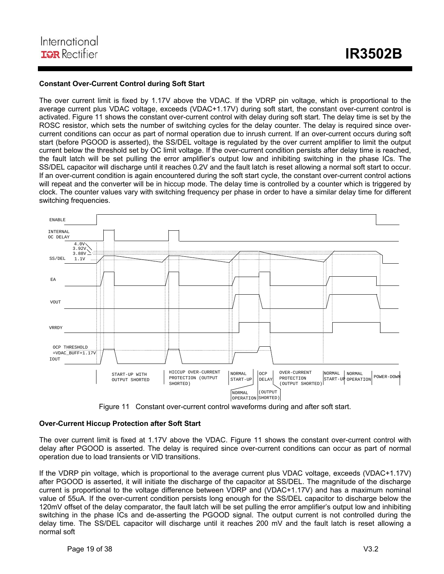#### **Constant Over-Current Control during Soft Start**

The over current limit is fixed by 1.17V above the VDAC. If the VDRP pin voltage, which is proportional to the average current plus VDAC voltage, exceeds (VDAC+1.17V) during soft start, the constant over-current control is activated. Figure 11 shows the constant over-current control with delay during soft start. The delay time is set by the ROSC resistor, which sets the number of switching cycles for the delay counter. The delay is required since overcurrent conditions can occur as part of normal operation due to inrush current. If an over-current occurs during soft start (before PGOOD is asserted), the SS/DEL voltage is regulated by the over current amplifier to limit the output current below the threshold set by OC limit voltage. If the over-current condition persists after delay time is reached, the fault latch will be set pulling the error amplifier's output low and inhibiting switching in the phase ICs. The SS/DEL capacitor will discharge until it reaches 0.2V and the fault latch is reset allowing a normal soft start to occur. If an over-current condition is again encountered during the soft start cycle, the constant over-current control actions will repeat and the converter will be in hiccup mode. The delay time is controlled by a counter which is triggered by clock. The counter values vary with switching frequency per phase in order to have a similar delay time for different switching frequencies.



Figure 11 Constant over-current control waveforms during and after soft start.

#### **Over-Current Hiccup Protection after Soft Start**

The over current limit is fixed at 1.17V above the VDAC. Figure 11 shows the constant over-current control with delay after PGOOD is asserted. The delay is required since over-current conditions can occur as part of normal operation due to load transients or VID transitions.

If the VDRP pin voltage, which is proportional to the average current plus VDAC voltage, exceeds (VDAC+1.17V) after PGOOD is asserted, it will initiate the discharge of the capacitor at SS/DEL. The magnitude of the discharge current is proportional to the voltage difference between VDRP and (VDAC+1.17V) and has a maximum nominal value of 55uA. If the over-current condition persists long enough for the SS/DEL capacitor to discharge below the 120mV offset of the delay comparator, the fault latch will be set pulling the error amplifier's output low and inhibiting switching in the phase ICs and de-asserting the PGOOD signal. The output current is not controlled during the delay time. The SS/DEL capacitor will discharge until it reaches 200 mV and the fault latch is reset allowing a normal soft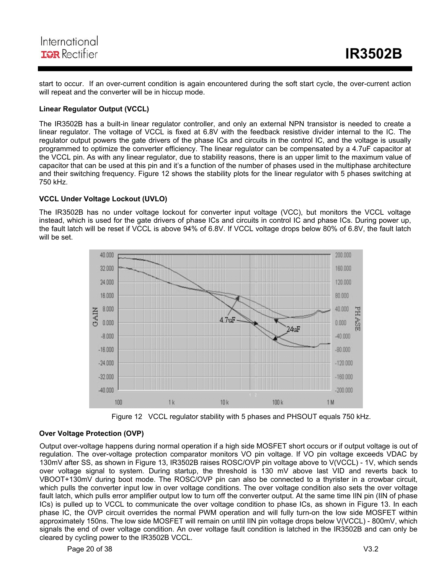## International **IGR** Rectifier

start to occur. If an over-current condition is again encountered during the soft start cycle, the over-current action will repeat and the converter will be in hiccup mode.

### **Linear Regulator Output (VCCL)**

The IR3502B has a built-in linear regulator controller, and only an external NPN transistor is needed to create a linear regulator. The voltage of VCCL is fixed at 6.8V with the feedback resistive divider internal to the IC. The regulator output powers the gate drivers of the phase ICs and circuits in the control IC, and the voltage is usually programmed to optimize the converter efficiency. The linear regulator can be compensated by a 4.7uF capacitor at the VCCL pin. As with any linear regulator, due to stability reasons, there is an upper limit to the maximum value of capacitor that can be used at this pin and it's a function of the number of phases used in the multiphase architecture and their switching frequency. Figure 12 shows the stability plots for the linear regulator with 5 phases switching at 750 kHz.

### **VCCL Under Voltage Lockout (UVLO)**

The IR3502B has no under voltage lockout for converter input voltage (VCC), but monitors the VCCL voltage instead, which is used for the gate drivers of phase ICs and circuits in control IC and phase ICs. During power up, the fault latch will be reset if VCCL is above 94% of 6.8V. If VCCL voltage drops below 80% of 6.8V, the fault latch will be set.



Figure 12 VCCL regulator stability with 5 phases and PHSOUT equals 750 kHz.

#### **Over Voltage Protection (OVP)**

Output over-voltage happens during normal operation if a high side MOSFET short occurs or if output voltage is out of regulation. The over-voltage protection comparator monitors VO pin voltage. If VO pin voltage exceeds VDAC by 130mV after SS, as shown in Figure 13, IR3502B raises ROSC/OVP pin voltage above to V(VCCL) - 1V, which sends over voltage signal to system. During startup, the threshold is 130 mV above last VID and reverts back to VBOOT+130mV during boot mode. The ROSC/OVP pin can also be connected to a thyrister in a crowbar circuit, which pulls the converter input low in over voltage conditions. The over voltage condition also sets the over voltage fault latch, which pulls error amplifier output low to turn off the converter output. At the same time IIN pin (IIN of phase ICs) is pulled up to VCCL to communicate the over voltage condition to phase ICs, as shown in Figure 13. In each phase IC, the OVP circuit overrides the normal PWM operation and will fully turn-on the low side MOSFET within approximately 150ns. The low side MOSFET will remain on until IIN pin voltage drops below V(VCCL) - 800mV, which signals the end of over voltage condition. An over voltage fault condition is latched in the IR3502B and can only be cleared by cycling power to the IR3502B VCCL.

Page 20 of 38 V3.2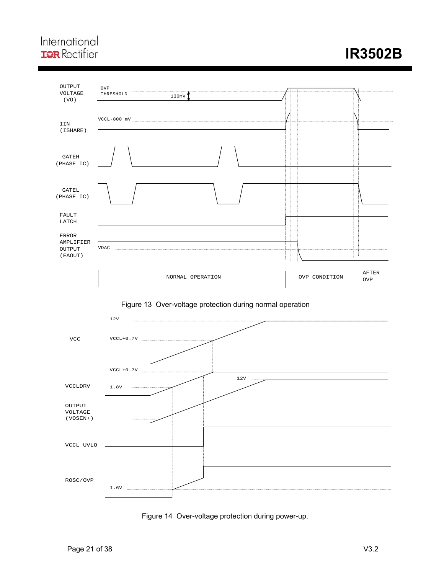## International **IQR** Rectifier

# **IR3502B**



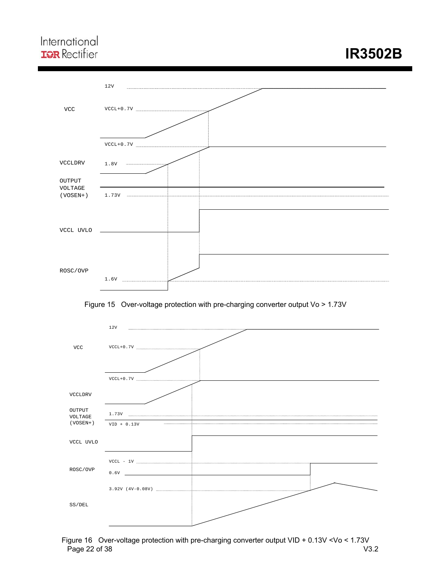## International **IQR** Rectifier

# **IR3502B**



Figure 15 Over-voltage protection with pre-charging converter output Vo > 1.73V



Page 22 of 38 V3.2 Figure 16 Over-voltage protection with pre-charging converter output VID + 0.13V <Vo < 1.73V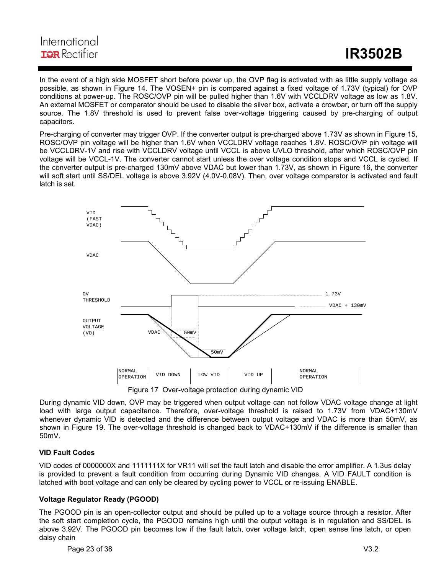## International **IGR** Rectifier

In the event of a high side MOSFET short before power up, the OVP flag is activated with as little supply voltage as possible, as shown in Figure 14. The VOSEN+ pin is compared against a fixed voltage of 1.73V (typical) for OVP conditions at power-up. The ROSC/OVP pin will be pulled higher than 1.6V with VCCLDRV voltage as low as 1.8V. An external MOSFET or comparator should be used to disable the silver box, activate a crowbar, or turn off the supply source. The 1.8V threshold is used to prevent false over-voltage triggering caused by pre-charging of output capacitors.

Pre-charging of converter may trigger OVP. If the converter output is pre-charged above 1.73V as shown in Figure 15, ROSC/OVP pin voltage will be higher than 1.6V when VCCLDRV voltage reaches 1.8V. ROSC/OVP pin voltage will be VCCLDRV-1V and rise with VCCLDRV voltage until VCCL is above UVLO threshold, after which ROSC/OVP pin voltage will be VCCL-1V. The converter cannot start unless the over voltage condition stops and VCCL is cycled. If the converter output is pre-charged 130mV above VDAC but lower than 1.73V, as shown in Figure 16, the converter will soft start until SS/DEL voltage is above 3.92V (4.0V-0.08V). Then, over voltage comparator is activated and fault latch is set.



Figure 17 Over-voltage protection during dynamic VID

During dynamic VID down, OVP may be triggered when output voltage can not follow VDAC voltage change at light load with large output capacitance. Therefore, over-voltage threshold is raised to 1.73V from VDAC+130mV whenever dynamic VID is detected and the difference between output voltage and VDAC is more than 50mV, as shown in Figure 19. The over-voltage threshold is changed back to VDAC+130mV if the difference is smaller than 50mV.

#### **VID Fault Codes**

VID codes of 0000000X and 1111111X for VR11 will set the fault latch and disable the error amplifier. A 1.3us delay is provided to prevent a fault condition from occurring during Dynamic VID changes. A VID FAULT condition is latched with boot voltage and can only be cleared by cycling power to VCCL or re-issuing ENABLE.

#### **Voltage Regulator Ready (PGOOD)**

The PGOOD pin is an open-collector output and should be pulled up to a voltage source through a resistor. After the soft start completion cycle, the PGOOD remains high until the output voltage is in regulation and SS/DEL is above 3.92V. The PGOOD pin becomes low if the fault latch, over voltage latch, open sense line latch, or open daisy chain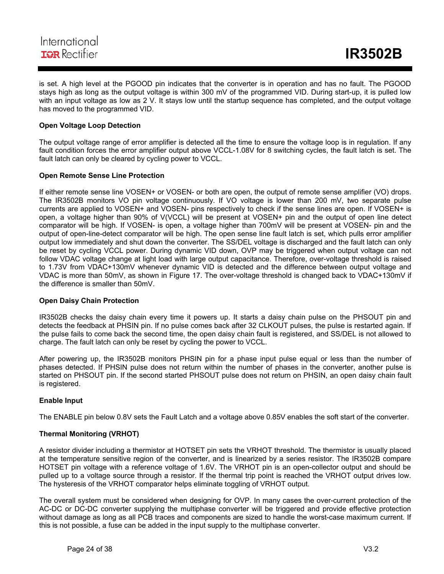

is set. A high level at the PGOOD pin indicates that the converter is in operation and has no fault. The PGOOD stays high as long as the output voltage is within 300 mV of the programmed VID. During start-up, it is pulled low with an input voltage as low as 2 V. It stays low until the startup sequence has completed, and the output voltage has moved to the programmed VID.

#### **Open Voltage Loop Detection**

The output voltage range of error amplifier is detected all the time to ensure the voltage loop is in regulation. If any fault condition forces the error amplifier output above VCCL-1.08V for 8 switching cycles, the fault latch is set. The fault latch can only be cleared by cycling power to VCCL.

#### **Open Remote Sense Line Protection**

If either remote sense line VOSEN+ or VOSEN- or both are open, the output of remote sense amplifier (VO) drops. The IR3502B monitors VO pin voltage continuously. If VO voltage is lower than 200 mV, two separate pulse currents are applied to VOSEN+ and VOSEN- pins respectively to check if the sense lines are open. If VOSEN+ is open, a voltage higher than 90% of V(VCCL) will be present at VOSEN+ pin and the output of open line detect comparator will be high. If VOSEN- is open, a voltage higher than 700mV will be present at VOSEN- pin and the output of open-line-detect comparator will be high. The open sense line fault latch is set, which pulls error amplifier output low immediately and shut down the converter. The SS/DEL voltage is discharged and the fault latch can only be reset by cycling VCCL power. During dynamic VID down, OVP may be triggered when output voltage can not follow VDAC voltage change at light load with large output capacitance. Therefore, over-voltage threshold is raised to 1.73V from VDAC+130mV whenever dynamic VID is detected and the difference between output voltage and VDAC is more than 50mV, as shown in Figure 17. The over-voltage threshold is changed back to VDAC+130mV if the difference is smaller than 50mV.

#### **Open Daisy Chain Protection**

IR3502B checks the daisy chain every time it powers up. It starts a daisy chain pulse on the PHSOUT pin and detects the feedback at PHSIN pin. If no pulse comes back after 32 CLKOUT pulses, the pulse is restarted again. If the pulse fails to come back the second time, the open daisy chain fault is registered, and SS/DEL is not allowed to charge. The fault latch can only be reset by cycling the power to VCCL.

After powering up, the IR3502B monitors PHSIN pin for a phase input pulse equal or less than the number of phases detected. If PHSIN pulse does not return within the number of phases in the converter, another pulse is started on PHSOUT pin. If the second started PHSOUT pulse does not return on PHSIN, an open daisy chain fault is registered.

#### **Enable Input**

The ENABLE pin below 0.8V sets the Fault Latch and a voltage above 0.85V enables the soft start of the converter.

#### **Thermal Monitoring (VRHOT)**

A resistor divider including a thermistor at HOTSET pin sets the VRHOT threshold. The thermistor is usually placed at the temperature sensitive region of the converter, and is linearized by a series resistor. The IR3502B compare HOTSET pin voltage with a reference voltage of 1.6V. The VRHOT pin is an open-collector output and should be pulled up to a voltage source through a resistor. If the thermal trip point is reached the VRHOT output drives low. The hysteresis of the VRHOT comparator helps eliminate toggling of VRHOT output.

The overall system must be considered when designing for OVP. In many cases the over-current protection of the AC-DC or DC-DC converter supplying the multiphase converter will be triggered and provide effective protection without damage as long as all PCB traces and components are sized to handle the worst-case maximum current. If this is not possible, a fuse can be added in the input supply to the multiphase converter.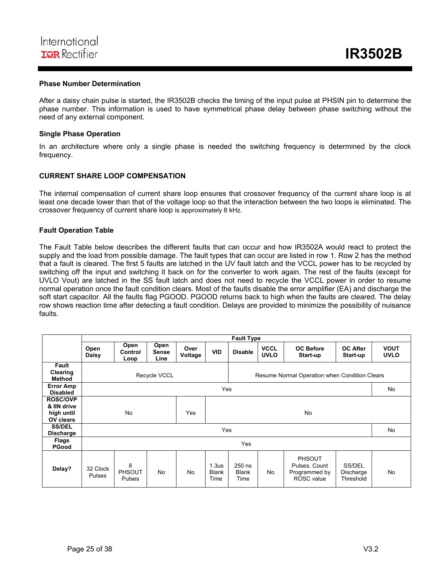

#### **Phase Number Determination**

After a daisy chain pulse is started, the IR3502B checks the timing of the input pulse at PHSIN pin to determine the phase number. This information is used to have symmetrical phase delay between phase switching without the need of any external component.

#### **Single Phase Operation**

In an architecture where only a single phase is needed the switching frequency is determined by the clock frequency.

#### **CURRENT SHARE LOOP COMPENSATION**

The internal compensation of current share loop ensures that crossover frequency of the current share loop is at least one decade lower than that of the voltage loop so that the interaction between the two loops is eliminated. The crossover frequency of current share loop is approximately 8 kHz.

#### **Fault Operation Table**

The Fault Table below describes the different faults that can occur and how IR3502A would react to protect the supply and the load from possible damage. The fault types that can occur are listed in row 1. Row 2 has the method that a fault is cleared. The first 5 faults are latched in the UV fault latch and the VCCL power has to be recycled by switching off the input and switching it back on for the converter to work again. The rest of the faults (except for UVLO Vout) are latched in the SS fault latch and does not need to recycle the VCCL power in order to resume normal operation once the fault condition clears. Most of the faults disable the error amplifier (EA) and discharge the soft start capacitor. All the faults flag PGOOD. PGOOD returns back to high when the faults are cleared. The delay row shows reaction time after detecting a fault condition. Delays are provided to minimize the possibility of nuisance faults.

|                                                           |                                                                      |                              |                              |                 |                                           | <b>Fault Type</b>              |                            |                                                               |                                  |                            |
|-----------------------------------------------------------|----------------------------------------------------------------------|------------------------------|------------------------------|-----------------|-------------------------------------------|--------------------------------|----------------------------|---------------------------------------------------------------|----------------------------------|----------------------------|
|                                                           | Open<br>Daisy                                                        | Open<br>Control<br>Loop      | Open<br><b>Sense</b><br>Line | Over<br>Voltage | <b>VID</b>                                | <b>Disable</b>                 | <b>VCCL</b><br><b>UVLO</b> | <b>OC Before</b><br>Start-up                                  | <b>OC After</b><br>Start-up      | <b>VOUT</b><br><b>UVLO</b> |
| Fault<br>Clearing<br><b>Method</b>                        | <b>Recycle VCCL</b><br>Resume Normal Operation when Condition Clears |                              |                              |                 |                                           |                                |                            |                                                               |                                  |                            |
| <b>Error Amp</b><br><b>Disabled</b>                       |                                                                      |                              |                              | Yes             |                                           |                                |                            |                                                               | No                               |                            |
| <b>ROSC/OVP</b><br>& IIN drive<br>high until<br>OV clears |                                                                      | <b>No</b><br>Yes<br>No       |                              |                 |                                           |                                |                            |                                                               |                                  |                            |
| <b>SS/DEL</b><br><b>Discharge</b>                         |                                                                      |                              | Yes                          |                 |                                           |                                |                            | <b>No</b>                                                     |                                  |                            |
| <b>Flags</b><br><b>PGood</b>                              |                                                                      |                              |                              |                 |                                           | Yes                            |                            |                                                               |                                  |                            |
| Delay?                                                    | 32 Clock<br>Pulses                                                   | 8<br>PHSOUT<br><b>Pulses</b> | <b>No</b>                    | No              | 1.3 <sub>us</sub><br><b>Blank</b><br>Time | 250 ns<br><b>Blank</b><br>Time | No.                        | <b>PHSOUT</b><br>Pulses, Count<br>Programmed by<br>ROSC value | SS/DEL<br>Discharge<br>Threshold | <b>No</b>                  |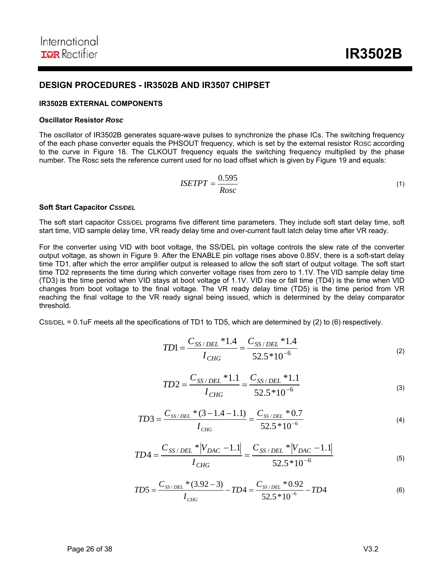### **DESIGN PROCEDURES - IR3502B AND IR3507 CHIPSET**

#### **IR3502B EXTERNAL COMPONENTS**

#### **Oscillator Resistor** *Rosc*

The oscillator of IR3502B generates square-wave pulses to synchronize the phase ICs. The switching frequency of the each phase converter equals the PHSOUT frequency, which is set by the external resistor ROSC according to the curve in Figure 18. The CLKOUT frequency equals the switching frequency multiplied by the phase number. The Rosc sets the reference current used for no load offset which is given by Figure 19 and equals:

$$
ISETPT = \frac{0.595}{Rosc} \tag{1}
$$

#### **Soft Start Capacitor** *CSS/DEL*

The soft start capacitor CSS/DEL programs five different time parameters. They include soft start delay time, soft start time, VID sample delay time, VR ready delay time and over-current fault latch delay time after VR ready.

For the converter using VID with boot voltage, the SS/DEL pin voltage controls the slew rate of the converter output voltage, as shown in Figure 9. After the ENABLE pin voltage rises above 0.85V, there is a soft-start delay time TD1, after which the error amplifier output is released to allow the soft start of output voltage. The soft start time TD2 represents the time during which converter voltage rises from zero to 1.1V. The VID sample delay time (TD3) is the time period when VID stays at boot voltage of 1.1V. VID rise or fall time (TD4) is the time when VID changes from boot voltage to the final voltage. The VR ready delay time (TD5) is the time period from VR reaching the final voltage to the VR ready signal being issued, which is determined by the delay comparator threshold.

CSS/DEL = 0.1uF meets all the specifications of TD1 to TD5, which are determined by (2) to (6) respectively.

$$
TD1 = \frac{C_{SS/DEL} * 1.4}{I_{CHG}} = \frac{C_{SS/DEL} * 1.4}{52.5 * 10^{-6}}
$$
(2)

$$
TD2 = \frac{C_{SS/DEL} * 1.1}{I_{CHG}} = \frac{C_{SS/DEL} * 1.1}{52.5 * 10^{-6}}
$$
(3)

$$
TD3 = \frac{C_{SS/DEL} * (3 - 1.4 - 1.1)}{I_{CHG}} = \frac{C_{SS/DEL} * 0.7}{52.5 * 10^{-6}}
$$
(4)

$$
TD4 = \frac{C_{SS/DEL} * |V_{DAC} - 1.1|}{I_{CHG}} = \frac{C_{SS/DEL} * |V_{DAC} - 1.1|}{52.5 * 10^{-6}}
$$
(5)

$$
TD5 = \frac{C_{SS/DEL} * (3.92 - 3)}{I_{CHG}} - TD4 = \frac{C_{SS/DEL} * 0.92}{52.5 * 10^{-6}} - TD4
$$
 (6)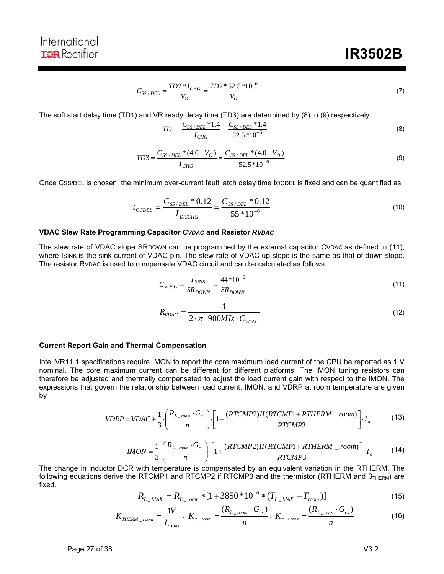# **IR3502B**

$$
C_{SS/DEL} = \frac{TD2 \cdot N_{CHG}}{V_O} = \frac{TD2 \cdot 52.5 \cdot 10^{-6}}{V_O} \tag{7}
$$

The soft start delay time (TD1) and VR ready delay time (TD3) are determined by (8) to (9) respectively.

$$
TD1 = \frac{C_{SS/DEL} * 1.4}{I_{CHG}} = \frac{C_{SS/DEL} * 1.4}{52.5 * 10^{-6}}
$$
(8)

$$
TD3 = \frac{C_{SS/DEL} * (4.0 - V_O)}{I_{CHG}} = \frac{C_{SS/DEL} * (4.0 - V_O)}{52.5 * 10^{-6}}
$$
(9)

Once CSS/DEL is chosen, the minimum over-current fault latch delay time tocDEL is fixed and can be quantified as

$$
t_{OCDEL} = \frac{C_{SS/DEL} * 0.12}{I_{DISCHG}} = \frac{C_{SS/DEL} * 0.12}{55 * 10^{-6}}
$$
(10)

#### **VDAC Slew Rate Programming Capacitor** *CVDAC* **and Resistor** *RVDAC*

The slew rate of VDAC slope SRDOWN can be programmed by the external capacitor CVDAC as defined in (11), where ISINK is the sink current of VDAC pin. The slew rate of VDAC up-slope is the same as that of down-slope. The resistor RVDAC is used to compensate VDAC circuit and can be calculated as follows

$$
C_{VDAC} = \frac{I_{SINK}}{SR_{DOWN}} = \frac{44 * 10^{-6}}{SR_{DOWN}}
$$
(11)

$$
R_{\text{VDAC}} = \frac{1}{2 \cdot \pi \cdot 900 \, kHz \cdot C_{\text{VDAC}}}
$$
\n<sup>(12)</sup>

#### **Current Report Gain and Thermal Compensation**

Intel VR11.1 specifications require IMON to report the core maximum load current of the CPU be reported as 1 V nominal. The core maximum current can be different for different platforms. The IMON tuning resistors can therefore be adjusted and thermally compensated to adjust the load current gain with respect to the IMON. The expressions that govern the relationship between load current, IMON, and VDRP at room temperature are given by

$$
VDRP = VDAC + \frac{1}{3} \cdot \left( \frac{R_{L\_room} \cdot G_{cs}}{n} \right) \cdot \left[ 1 + \frac{(RTCMDP2)II(RTCMP1 + RTHERM\_room)}{RTCMP3} \right] \cdot I_o \tag{13}
$$

$$
IMON = \frac{1}{3} \cdot \left( \frac{R_{L\_room} \cdot G_{cs}}{n} \right) \cdot \left[ 1 + \frac{(RTCMDP2)II(RTCMP1 + RTHERM\_room)}{RTCMP3} \right] \cdot I_o \tag{14}
$$

The change in inductor DCR with temperature is compensated by an equivalent variation in the RTHERM. The following equations derive the RTCMP1 and RTCMP2 if RTCMP3 and the thermistor (RTHERM and  $\beta_{\text{THERM}}$ ) are fixed.

$$
R_{L_{\_MAX}} = R_{L_{\_room}} * [1 + 3850 * 10^{-6} * (T_{L_{\_MAX}} - T_{room})]
$$
\n(15)

$$
K_{\text{THERM}_{\text{1}}\text{room}} = \frac{1V}{I_{\text{0}}}
$$
,  $K_{c_{\text{1}}\text{room}} = \frac{(R_{L_{\text{1}}\text{room}} \cdot G_{cs})}{n}$ ,  $K_{c_{\text{1}}\text{max}} = \frac{(R_{L_{\text{1}}\text{max}} \cdot G_{cs})}{n}$  (16)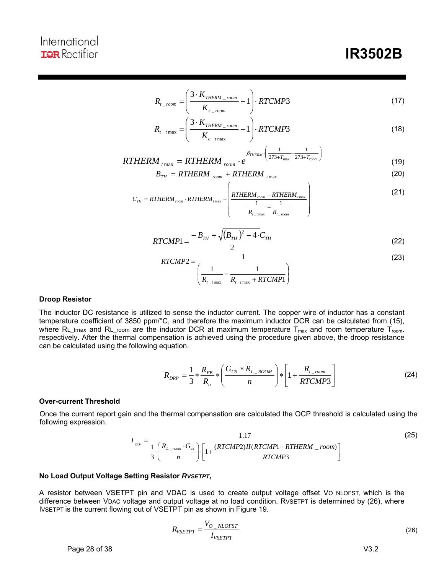## International **IGR** Rectifier

$$
R_{t_{\text{1}-room}} = \left(\frac{3 \cdot K_{\text{THERM}}_{\text{1}-room}}{K_{c_{\text{1}-room}}} - 1\right) \cdot RTCMP3
$$
\n(17)

$$
R_{t_{t_{\text{max}}}} = \left(\frac{3 \cdot K_{\text{THERM\_room}}}{K_{c_{\text{max}}}} - 1\right) \cdot RTCMP3
$$
\n(18)

$$
RTHERM_{t\max} = RTHERM_{room} \cdot e^{\beta_{THERM} \left(\frac{1}{273 + T_{max}} - \frac{1}{273 + T_{room}}\right)}
$$
(19)

$$
B_{TH} = RTHERM_{room} + RTHERM_{t\text{max}} \tag{20}
$$

$$
C_{TH} = RTHERM_{room} \cdot RTHERM_{rmax} - \left(\frac{RTHERM_{room} - RTHERM_{rmax}}{1 - \frac{1}{R_{t_{r,max}}} - \frac{1}{R_{t_{r,room}}}}\right)
$$
(21)

$$
RTCMP1 = \frac{-B_{TH} + \sqrt{(B_{TH})^2 - 4 \cdot C_{TH}}}{2}
$$
\n(22)

$$
RTCMP2 = \frac{1}{\left(\frac{1}{R_{t_{\text{1}+\text{max}}}} - \frac{1}{R_{t_{\text{1}+\text{max}}} + RTCMP1}\right)}
$$
(23)

#### **Droop Resistor**

The inductor DC resistance is utilized to sense the inductor current. The copper wire of inductor has a constant temperature coefficient of 3850 ppm/°C, and therefore the maximum inductor DCR can be calculated from (15), where RL\_tmax and RL\_room are the inductor DCR at maximum temperature  $T_{max}$  and room temperature  $T_{room}$ . respectively. After the thermal compensation is achieved using the procedure given above, the droop resistance can be calculated using the following equation.

$$
R_{DRP} = \frac{1}{3} * \frac{R_{FB}}{R_o} * \left(\frac{G_{CS} * R_{L\_Room}}{n}\right) * \left[1 + \frac{R_{L\_room}}{RTCMP3}\right]
$$
(24)

#### **Over-current Threshold**

Once the current report gain and the thermal compensation are calculated the OCP threshold is calculated using the following expression.

$$
I_{ocr} = \frac{1.17}{\frac{1}{3} \cdot \left(\frac{R_{L\_room} \cdot G_{cs}}{n}\right) \cdot \left[1 + \frac{(RTCMDP2)II(RTCMP1 + RTHERM\_room)}{RTCMP3}\right]}\tag{25}
$$

#### **No Load Output Voltage Setting Resistor** *RVSETPT***,**

A resistor between VSETPT pin and VDAC is used to create output voltage offset Vo\_NLOFST, which is the difference between VDAC voltage and output voltage at no load condition. RVSETPT is determined by (26), where IVSETPT is the current flowing out of VSETPT pin as shown in Figure 19.

$$
R_{VSETPT} = \frac{V_{O_NLOFST}}{I_{VSETPT}} \tag{26}
$$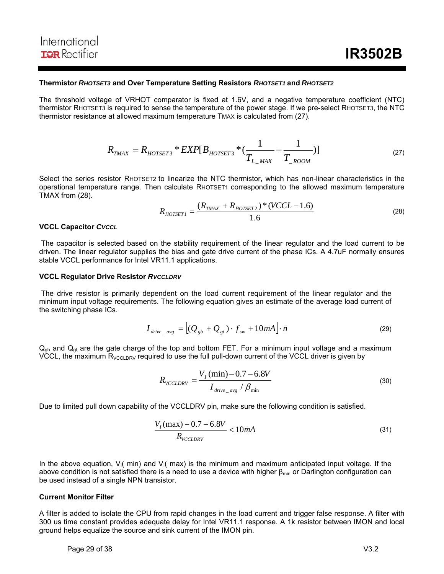#### **Thermistor** *RHOTSET3* **and Over Temperature Setting Resistors** *RHOTSET1* **and** *RHOTSET2*

The threshold voltage of VRHOT comparator is fixed at 1.6V, and a negative temperature coefficient (NTC) thermistor RHOTSET3 is required to sense the temperature of the power stage. If we pre-select RHOTSET3, the NTC thermistor resistance at allowed maximum temperature TMAX is calculated from (27).

$$
R_{TMAX} = R_{HOTSET3} * EXP[B_{HOTSET3} * (\frac{1}{T_{L_MAX}} - \frac{1}{T_{ROM}})]
$$
\n(27)

Select the series resistor RHOTSET2 to linearize the NTC thermistor, which has non-linear characteristics in the operational temperature range. Then calculate RHOTSET1 corresponding to the allowed maximum temperature TMAX from (28).

$$
R_{HOTSET1} = \frac{(R_{TMAX} + R_{HOTSET2}) * (VCL - 1.6)}{1.6}
$$
 (28)

#### **VCCL Capacitor** *CVCCL*

 The capacitor is selected based on the stability requirement of the linear regulator and the load current to be driven. The linear regulator supplies the bias and gate drive current of the phase ICs. A 4.7uF normally ensures stable VCCL performance for Intel VR11.1 applications.

#### **VCCL Regulator Drive Resistor** *RVCCLDRV*

 The drive resistor is primarily dependent on the load current requirement of the linear regulator and the minimum input voltage requirements. The following equation gives an estimate of the average load current of the switching phase ICs.

$$
I_{drive \_avg} = \left[ (Q_{gb} + Q_{gt}) \cdot f_{sw} + 10mA \right] \cdot n \tag{29}
$$

 $Q<sub>gb</sub>$  and  $Q<sub>gt</sub>$  are the gate charge of the top and bottom FET. For a minimum input voltage and a maximum VCCL, the maximum  $R_{\text{VCCLDRV}}$  required to use the full pull-down current of the VCCL driver is given by

$$
R_{\text{VCCLDRV}} = \frac{V_I \left(\text{min}\right) - 0.7 - 6.8V}{I_{\text{drive}=\text{avg}} / \beta_{\text{min}}}
$$
(30)

Due to limited pull down capability of the VCCLDRV pin, make sure the following condition is satisfied.

$$
\frac{V_I(\text{max}) - 0.7 - 6.8V}{R_{\text{VCCLDRV}}} < 10mA \tag{31}
$$

In the above equation,  $V_1$ ( min) and  $V_1$ ( max) is the minimum and maximum anticipated input voltage. If the above condition is not satisfied there is a need to use a device with higher  $\beta_{\text{min}}$  or Darlington configuration can be used instead of a single NPN transistor.

#### **Current Monitor Filter**

A filter is added to isolate the CPU from rapid changes in the load current and trigger false response. A filter with 300 us time constant provides adequate delay for Intel VR11.1 response. A 1k resistor between IMON and local ground helps equalize the source and sink current of the IMON pin.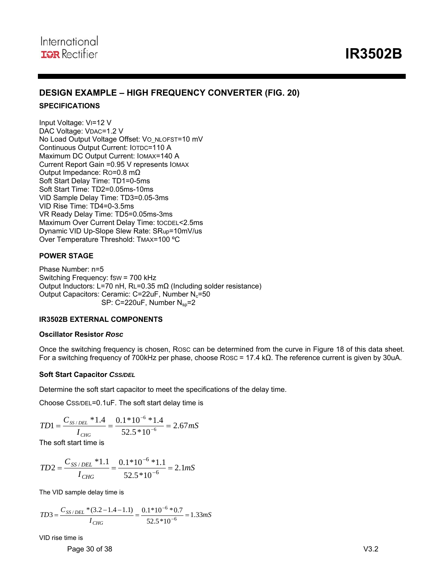### **DESIGN EXAMPLE – HIGH FREQUENCY CONVERTER (FIG. 20)**

#### **SPECIFICATIONS**

Input Voltage: VI=12 V DAC Voltage: VDAC=1.2 V No Load Output Voltage Offset: Vo\_NLOFST=10 mV Continuous Output Current: IOTDC=110 A Maximum DC Output Current: IOMAX=140 A Current Report Gain =0.95 V represents IOMAX Output Impedance: RO=0.8 mΩ Soft Start Delay Time: TD1=0-5ms Soft Start Time: TD2=0.05ms-10ms VID Sample Delay Time: TD3=0.05-3ms VID Rise Time: TD4=0-3.5ms VR Ready Delay Time: TD5=0.05ms-3ms Maximum Over Current Delay Time: tOCDEL<2.5ms Dynamic VID Up-Slope Slew Rate: SRup=10mV/us Over Temperature Threshold: TMAX=100 °C

#### **POWER STAGE**

Phase Number: n=5 Switching Frequency: fSW = 700 kHz Output Inductors: L=70 nH, RL=0.35 mΩ (Including solder resistance) Output Capacitors: Ceramic: C=22uF, Number  $N_c$ =50 SP:  $C=220uF$ , Number  $N_{sp}=2$ 

#### **IR3502B EXTERNAL COMPONENTS**

#### **Oscillator Resistor** *Rosc*

Once the switching frequency is chosen, ROSC can be determined from the curve in Figure 18 of this data sheet. For a switching frequency of 700kHz per phase, choose ROSC = 17.4 kΩ. The reference current is given by 30uA.

#### **Soft Start Capacitor** *CSS/DEL*

Determine the soft start capacitor to meet the specifications of the delay time.

Choose CSS/DEL=0.1uF. The soft start delay time is

$$
TD1 = \frac{C_{SS/DEL} * 1.4}{I_{CHG}} = \frac{0.1 * 10^{-6} * 1.4}{52.5 * 10^{-6}} = 2.67 mS
$$

The soft start time is

$$
TD2 = \frac{C_{SS/DEL} * 1.1}{I_{CHG}} = \frac{0.1 * 10^{-6} * 1.1}{52.5 * 10^{-6}} = 2.1 mS
$$

The VID sample delay time is

$$
TD3 = \frac{C_{SS/DEL} * (3.2 - 1.4 - 1.1)}{I_{CHG}} = \frac{0.1 * 10^{-6} * 0.7}{52.5 * 10^{-6}} = 1.33 mS
$$

VID rise time is

Page 30 of 38 V3.2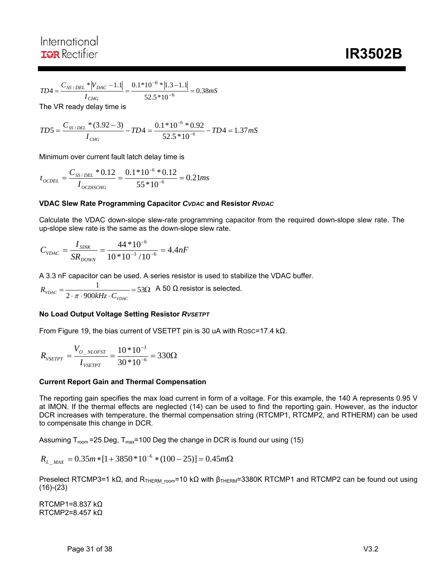$$
TD4 = \frac{C_{SS/DEL} * |V_{DAC} - 1.1|}{I_{CHG}} = \frac{0.1 * 10^{-6} * |1.3 - 1.1|}{52.5 * 10^{-6}} = 0.38 mS
$$

The VR ready delay time is

$$
TD5 = \frac{C_{SS/DEL} * (3.92 - 3)}{I_{CHG}} - TD4 = \frac{0.1 * 10^{-6} * 0.92}{52.5 * 10^{-6}} - TD4 = 1.37 mS
$$

Minimum over current fault latch delay time is

$$
t_{\text{OCDEL}} = \frac{C_{SS/DEL} * 0.12}{I_{\text{OCDISCHG}}} = \frac{0.1 * 10^{-6} * 0.12}{55 * 10^{-6}} = 0.21 ms
$$

#### **VDAC Slew Rate Programming Capacitor** *CVDAC* **and Resistor** *RVDAC*

Calculate the VDAC down-slope slew-rate programming capacitor from the required down-slope slew rate. The up-slope slew rate is the same as the down-slope slew rate.

$$
C_{\text{VDAC}} = \frac{I_{\text{SINK}}}{SR_{\text{DOWN}}} = \frac{44 * 10^{-6}}{10 * 10^{-3} / 10^{-6}} = 4.4 nF
$$

A 3.3 nF capacitor can be used. A series resistor is used to stabilize the VDAC buffer.

 $=\frac{1}{2 \cdot \pi \cdot 900kHz \cdot C_{\text{VDAC}}}$  = 53 $\Omega$ 1  $R_{\text{VDAC}} = \frac{1}{2 \cdot \pi \cdot 900 \text{kHz} \cdot C_{\text{VDAC}}}$ A 50  $Ω$  resistor is selected.

#### **No Load Output Voltage Setting Resistor** *RVSETPT*

From Figure 19, the bias current of VSETPT pin is 30 uA with ROSC=17.4 kΩ.

$$
R_{\text{vSETPT}} = \frac{V_{O\_NLOFST}}{I_{\text{vSETPT}}} = \frac{10 * 10^{-3}}{30 * 10^{-6}} = 330 \Omega
$$

#### **Current Report Gain and Thermal Compensation**

The reporting gain specifies the max load current in form of a voltage. For this example, the 140 A represents 0.95 V at IMON. If the thermal effects are neglected (14) can be used to find the reporting gain. However, as the inductor DCR increases with temperature, the thermal compensation string (RTCMP1, RTCMP2, and RTHERM) can be used to compensate this change in DCR.

Assuming  $T_{room}$  =25 Deg,  $T_{max}$ =100 Deg the change in DCR is found our using (15)

$$
R_{L_{\text{MAX}}} = 0.35m * [1 + 3850 * 10^{-6} * (100 - 25)] = 0.45m\Omega
$$

Preselect RTCMP3=1 kΩ, and R<sub>THERM</sub> room=10 kΩ with  $\beta_{\text{THERM}}$ =3380K RTCMP1 and RTCMP2 can be found out using  $(16)-(23)$ 

RTCMP1=8.837 kΩ RTCMP2=8.457 kΩ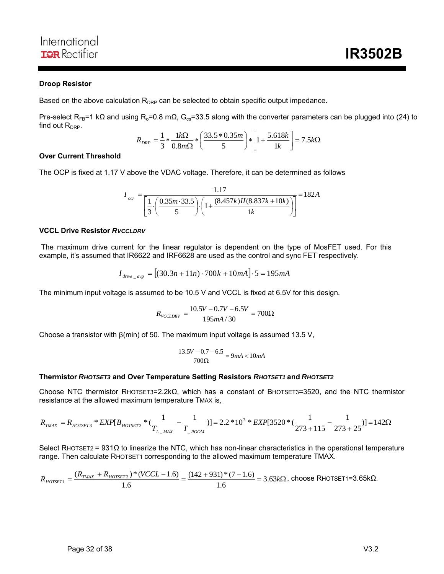#### **Droop Resistor**

Based on the above calculation  $R_{DRP}$  can be selected to obtain specific output impedance.

Pre-select R<sub>FB</sub>=1 kΩ and using R<sub>o</sub>=0.8 mΩ, G<sub>cs</sub>=33.5 along with the converter parameters can be plugged into (24) to find out  $R_{\text{DRP}}$ .

$$
R_{DRP} = \frac{1}{3} * \frac{1k\Omega}{0.8m\Omega} * \left(\frac{33.5 * 0.35m}{5}\right) * \left[1 + \frac{5.618k}{1k}\right] = 7.5k\Omega
$$

#### **Over Current Threshold**

The OCP is fixed at 1.17 V above the VDAC voltage. Therefore, it can be determined as follows

$$
I_{ocp} = \frac{1.17}{\left[\frac{1}{3} \cdot \left(\frac{0.35m \cdot 33.5}{5}\right) \cdot \left(1 + \frac{(8.457k)II(8.837k + 10k)}{1k}\right)\right]} = 182A
$$

#### **VCCL Drive Resistor** *RVCCLDRV*

 The maximum drive current for the linear regulator is dependent on the type of MosFET used. For this example, it's assumed that IR6622 and IRF6628 are used as the control and sync FET respectively.

$$
I_{drive \_avg} = [(30.3n + 11n) \cdot 700k + 10mA] \cdot 5 = 195mA
$$

The minimum input voltage is assumed to be 10.5 V and VCCL is fixed at 6.5V for this design.

$$
R_{\text{VCCLDRV}} = \frac{10.5V - 0.7V - 6.5V}{195mA/30} = 700\Omega
$$

Choose a transistor with  $\beta$ (min) of 50. The maximum input voltage is assumed 13.5 V,

$$
\frac{13.5V - 0.7 - 6.5}{700\Omega} = 9mA < 10mA
$$

#### **Thermistor** *RHOTSET3* **and Over Temperature Setting Resistors** *RHOTSET1* **and** *RHOTSET2*

Choose NTC thermistor RHOTSET3=2.2kΩ, which has a constant of BHOTSET3=3520, and the NTC thermistor resistance at the allowed maximum temperature TMAX is,

$$
R_{TMAX} = R_{HOTSET3} * EXP[B_{HOTSET3} * (\frac{1}{T_{L_MAX}} - \frac{1}{T_{1,1}N_{C}})] = 2.2 * 10^3 * EXP[3520 * (\frac{1}{273 + 115} - \frac{1}{273 + 25})] = 142 \Omega
$$

Select RHOTSET2 = 931Ω to linearize the NTC, which has non-linear characteristics in the operational temperature range. Then calculate RHOTSET1 corresponding to the allowed maximum temperature TMAX.

$$
R_{\text{HOTSET1}} = \frac{(R_{\text{TMAX}} + R_{\text{HOTSET2}}) * (VCCL - 1.6)}{1.6} = \frac{(142 + 931) * (7 - 1.6)}{1.6} = 3.63 \text{k}\Omega, \text{ choose RHOTSET1=3.65 k}\Omega.
$$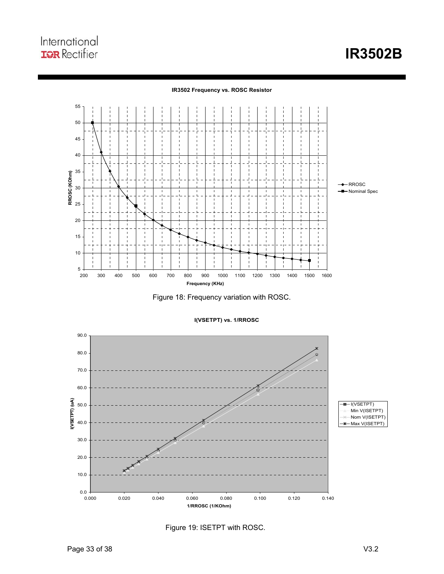#### **IR3502 Frequency vs. ROSC Resistor**



Figure 18: Frequency variation with ROSC.



**I(VSETPT) vs. 1/RROSC**

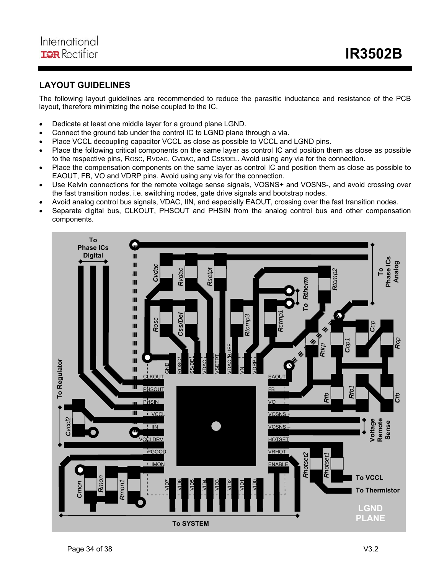## **LAYOUT GUIDELINES**

The following layout guidelines are recommended to reduce the parasitic inductance and resistance of the PCB layout, therefore minimizing the noise coupled to the IC.

- Dedicate at least one middle layer for a ground plane LGND.
- Connect the ground tab under the control IC to LGND plane through a via.
- Place VCCL decoupling capacitor VCCL as close as possible to VCCL and LGND pins.
- Place the following critical components on the same layer as control IC and position them as close as possible to the respective pins, ROSC, RVDAC, CVDAC, and CSS/DEL. Avoid using any via for the connection.
- Place the compensation components on the same layer as control IC and position them as close as possible to EAOUT, FB, VO and VDRP pins. Avoid using any via for the connection.
- Use Kelvin connections for the remote voltage sense signals, VOSNS+ and VOSNS-, and avoid crossing over the fast transition nodes, i.e. switching nodes, gate drive signals and bootstrap nodes.
- Avoid analog control bus signals, VDAC, IIN, and especially EAOUT, crossing over the fast transition nodes.
- Separate digital bus, CLKOUT, PHSOUT and PHSIN from the analog control bus and other compensation components.

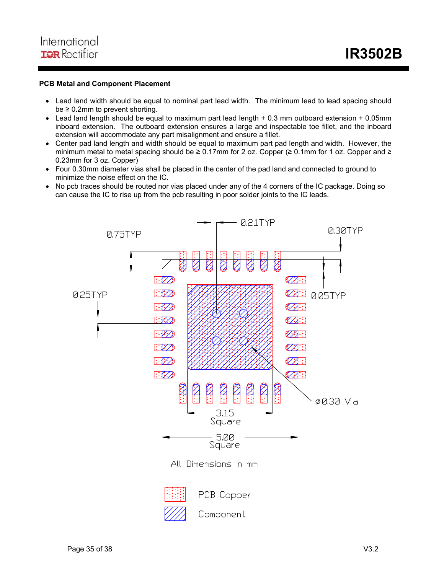#### **PCB Metal and Component Placement**

- Lead land width should be equal to nominal part lead width. The minimum lead to lead spacing should  $be \geq 0.2$ mm to prevent shorting.
- Lead land length should be equal to maximum part lead length + 0.3 mm outboard extension + 0.05mm inboard extension. The outboard extension ensures a large and inspectable toe fillet, and the inboard extension will accommodate any part misalignment and ensure a fillet.
- Center pad land length and width should be equal to maximum part pad length and width. However, the minimum metal to metal spacing should be  $\geq 0.17$ mm for 2 oz. Copper ( $\geq 0.1$ mm for 1 oz. Copper and  $\geq$ 0.23mm for 3 oz. Copper)
- Four 0.30mm diameter vias shall be placed in the center of the pad land and connected to ground to minimize the noise effect on the IC.
- No pcb traces should be routed nor vias placed under any of the 4 corners of the IC package. Doing so can cause the IC to rise up from the pcb resulting in poor solder joints to the IC leads.

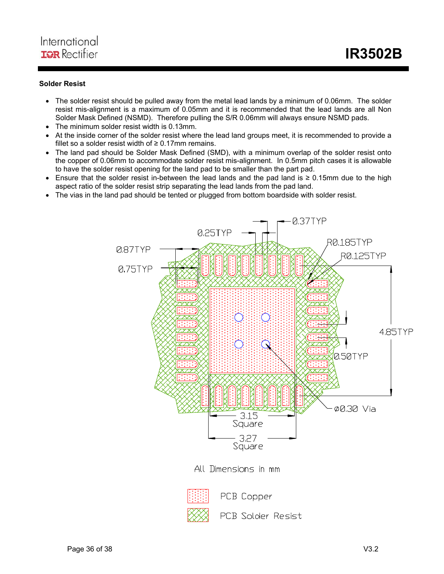#### **Solder Resist**

- The solder resist should be pulled away from the metal lead lands by a minimum of 0.06mm. The solder resist mis-alignment is a maximum of 0.05mm and it is recommended that the lead lands are all Non Solder Mask Defined (NSMD). Therefore pulling the S/R 0.06mm will always ensure NSMD pads.
- The minimum solder resist width is 0.13mm.
- At the inside corner of the solder resist where the lead land groups meet, it is recommended to provide a fillet so a solder resist width of  $\geq 0.17$ mm remains.
- The land pad should be Solder Mask Defined (SMD), with a minimum overlap of the solder resist onto the copper of 0.06mm to accommodate solder resist mis-alignment. In 0.5mm pitch cases it is allowable to have the solder resist opening for the land pad to be smaller than the part pad.
- Ensure that the solder resist in-between the lead lands and the pad land is ≥ 0.15mm due to the high aspect ratio of the solder resist strip separating the lead lands from the pad land.
- The vias in the land pad should be tented or plugged from bottom boardside with solder resist.



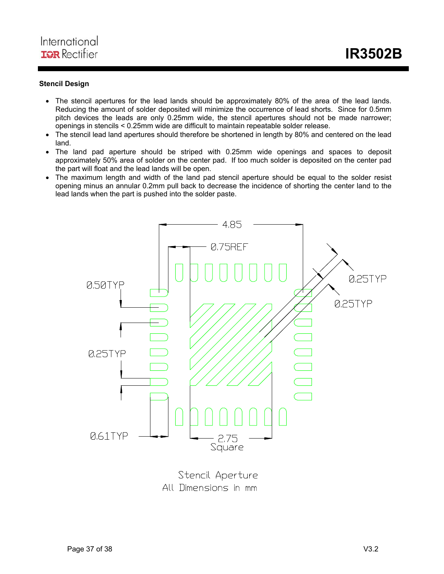### **Stencil Design**

- The stencil apertures for the lead lands should be approximately 80% of the area of the lead lands. Reducing the amount of solder deposited will minimize the occurrence of lead shorts. Since for 0.5mm pitch devices the leads are only 0.25mm wide, the stencil apertures should not be made narrower; openings in stencils < 0.25mm wide are difficult to maintain repeatable solder release.
- The stencil lead land apertures should therefore be shortened in length by 80% and centered on the lead land.
- The land pad aperture should be striped with 0.25mm wide openings and spaces to deposit approximately 50% area of solder on the center pad. If too much solder is deposited on the center pad the part will float and the lead lands will be open.
- The maximum length and width of the land pad stencil aperture should be equal to the solder resist opening minus an annular 0.2mm pull back to decrease the incidence of shorting the center land to the lead lands when the part is pushed into the solder paste.



Stencil Aperture All Dimensions in mm